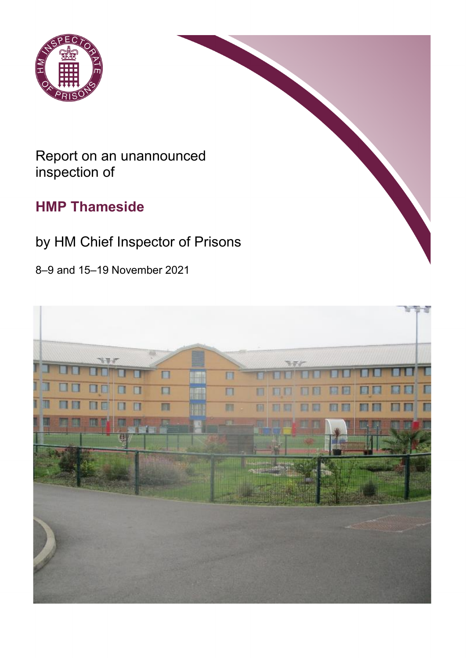

# Report on an unannounced inspection of

# **HMP Thameside**

# by HM Chief Inspector of Prisons

8–9 and 15–19 November 2021

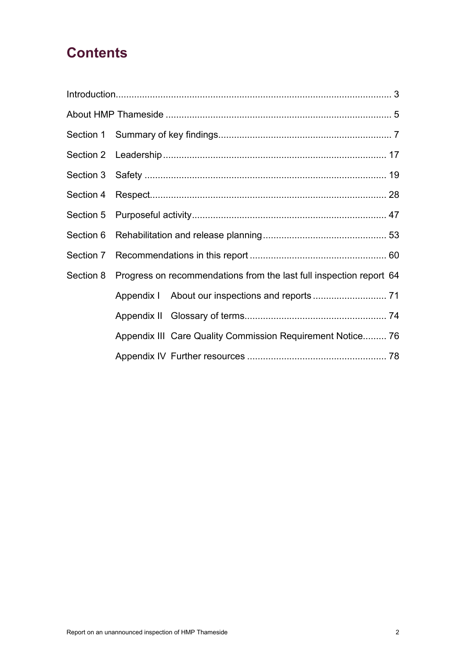# **Contents**

|  | Section 8 Progress on recommendations from the last full inspection report 64 |  |
|--|-------------------------------------------------------------------------------|--|
|  |                                                                               |  |
|  |                                                                               |  |
|  | Appendix III Care Quality Commission Requirement Notice 76                    |  |
|  |                                                                               |  |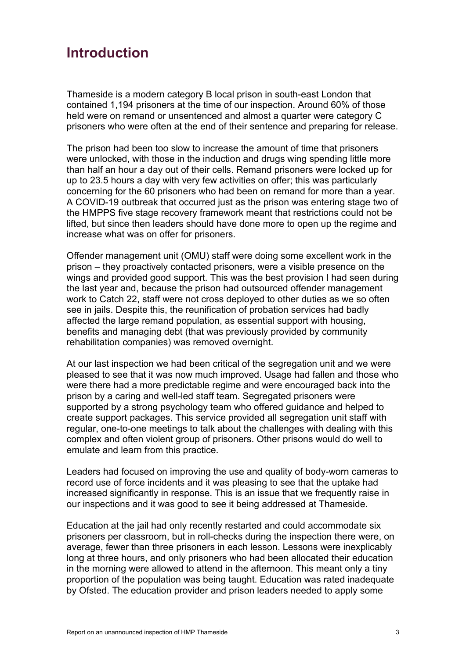# <span id="page-2-0"></span>**Introduction**

Thameside is a modern category B local prison in south-east London that contained 1,194 prisoners at the time of our inspection. Around 60% of those held were on remand or unsentenced and almost a quarter were category C prisoners who were often at the end of their sentence and preparing for release.

The prison had been too slow to increase the amount of time that prisoners were unlocked, with those in the induction and drugs wing spending little more than half an hour a day out of their cells. Remand prisoners were locked up for up to 23.5 hours a day with very few activities on offer; this was particularly concerning for the 60 prisoners who had been on remand for more than a year. A COVID-19 outbreak that occurred just as the prison was entering stage two of the HMPPS five stage recovery framework meant that restrictions could not be lifted, but since then leaders should have done more to open up the regime and increase what was on offer for prisoners.

Offender management unit (OMU) staff were doing some excellent work in the prison – they proactively contacted prisoners, were a visible presence on the wings and provided good support. This was the best provision I had seen during the last year and, because the prison had outsourced offender management work to Catch 22, staff were not cross deployed to other duties as we so often see in jails. Despite this, the reunification of probation services had badly affected the large remand population, as essential support with housing, benefits and managing debt (that was previously provided by community rehabilitation companies) was removed overnight.

At our last inspection we had been critical of the segregation unit and we were pleased to see that it was now much improved. Usage had fallen and those who were there had a more predictable regime and were encouraged back into the prison by a caring and well-led staff team. Segregated prisoners were supported by a strong psychology team who offered guidance and helped to create support packages. This service provided all segregation unit staff with regular, one-to-one meetings to talk about the challenges with dealing with this complex and often violent group of prisoners. Other prisons would do well to emulate and learn from this practice.

Leaders had focused on improving the use and quality of body-worn cameras to record use of force incidents and it was pleasing to see that the uptake had increased significantly in response. This is an issue that we frequently raise in our inspections and it was good to see it being addressed at Thameside.

Education at the jail had only recently restarted and could accommodate six prisoners per classroom, but in roll-checks during the inspection there were, on average, fewer than three prisoners in each lesson. Lessons were inexplicably long at three hours, and only prisoners who had been allocated their education in the morning were allowed to attend in the afternoon. This meant only a tiny proportion of the population was being taught. Education was rated inadequate by Ofsted. The education provider and prison leaders needed to apply some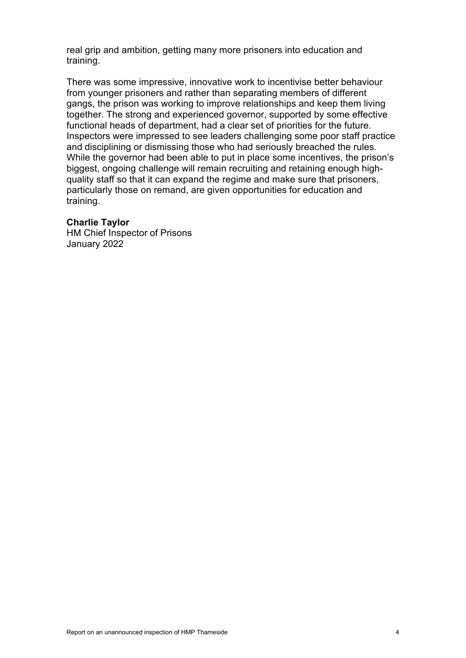real grip and ambition, getting many more prisoners into education and training.

There was some impressive, innovative work to incentivise better behaviour from younger prisoners and rather than separating members of different gangs, the prison was working to improve relationships and keep them living together. The strong and experienced governor, supported by some effective functional heads of department, had a clear set of priorities for the future. Inspectors were impressed to see leaders challenging some poor staff practice and disciplining or dismissing those who had seriously breached the rules. While the governor had been able to put in place some incentives, the prison's biggest, ongoing challenge will remain recruiting and retaining enough highquality staff so that it can expand the regime and make sure that prisoners, particularly those on remand, are given opportunities for education and training.

#### **Charlie Taylor**

HM Chief Inspector of Prisons January 2022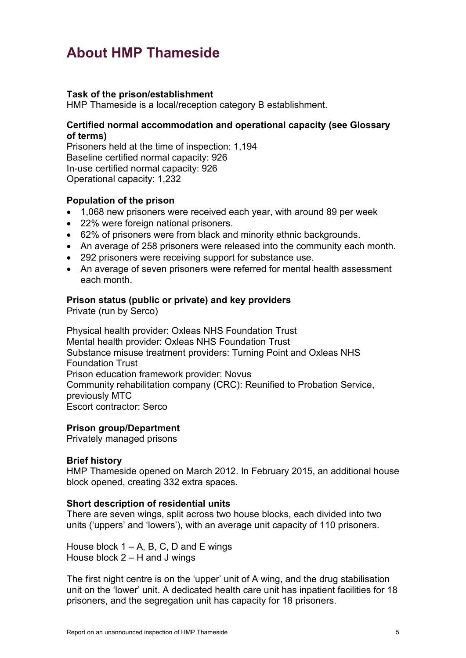# <span id="page-4-0"></span>**About HMP Thameside**

## **Task of the prison/establishment**

HMP Thameside is a local/reception category B establishment.

## **Certified normal accommodation and operational capacity (see Glossary of terms)**

Prisoners held at the time of inspection: 1,194 Baseline certified normal capacity: 926 In-use certified normal capacity: 926 Operational capacity: 1,232

## **Population of the prison**

- 1,068 new prisoners were received each year, with around 89 per week
- 22% were foreign national prisoners.
- 62% of prisoners were from black and minority ethnic backgrounds.
- An average of 258 prisoners were released into the community each month.
- 292 prisoners were receiving support for substance use.
- An average of seven prisoners were referred for mental health assessment each month.

### **Prison status (public or private) and key providers**

Private (run by Serco)

Physical health provider: Oxleas NHS Foundation Trust Mental health provider: Oxleas NHS Foundation Trust Substance misuse treatment providers: Turning Point and Oxleas NHS Foundation Trust Prison education framework provider: Novus Community rehabilitation company (CRC): Reunified to Probation Service, previously MTC Escort contractor: Serco

#### **Prison group/Department**

Privately managed prisons

#### **Brief history**

HMP Thameside opened on March 2012. In February 2015, an additional house block opened, creating 332 extra spaces.

#### **Short description of residential units**

There are seven wings, split across two house blocks, each divided into two units ('uppers' and 'lowers'), with an average unit capacity of 110 prisoners.

House block  $1 - A$ , B, C, D and E wings House block 2 – H and J wings

The first night centre is on the 'upper' unit of A wing, and the drug stabilisation unit on the 'lower' unit. A dedicated health care unit has inpatient facilities for 18 prisoners, and the segregation unit has capacity for 18 prisoners.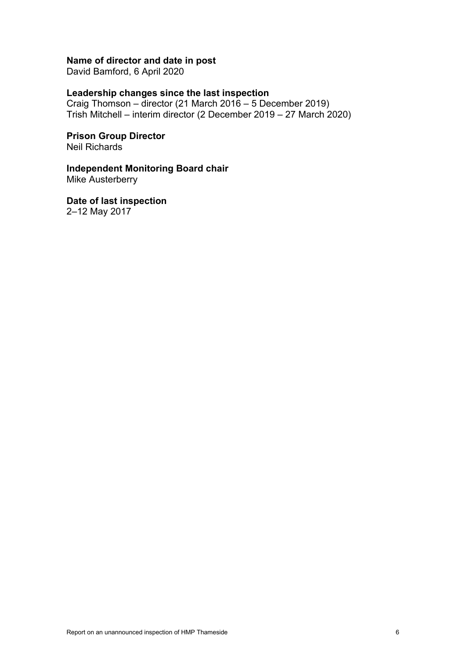## **Name of director and date in post**

David Bamford, 6 April 2020

### **Leadership changes since the last inspection**

Craig Thomson – director (21 March 2016 – 5 December 2019) Trish Mitchell – interim director (2 December 2019 – 27 March 2020)

**Prison Group Director** Neil Richards

## **Independent Monitoring Board chair**

Mike Austerberry

**Date of last inspection** 2–12 May 2017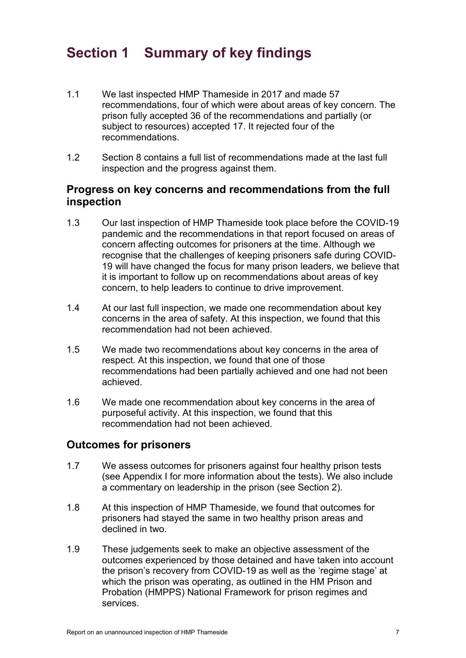# <span id="page-6-0"></span>**Section 1 Summary of key findings**

- 1.1 We last inspected HMP Thameside in 2017 and made 57 recommendations, four of which were about areas of key concern. The prison fully accepted 36 of the recommendations and partially (or subject to resources) accepted 17. It rejected four of the recommendations.
- 1.2 Section 8 contains a full list of recommendations made at the last full inspection and the progress against them.

## **Progress on key concerns and recommendations from the full inspection**

- 1.3 Our last inspection of HMP Thameside took place before the COVID-19 pandemic and the recommendations in that report focused on areas of concern affecting outcomes for prisoners at the time. Although we recognise that the challenges of keeping prisoners safe during COVID-19 will have changed the focus for many prison leaders, we believe that it is important to follow up on recommendations about areas of key concern, to help leaders to continue to drive improvement.
- 1.4 At our last full inspection, we made one recommendation about key concerns in the area of safety. At this inspection, we found that this recommendation had not been achieved.
- 1.5 We made two recommendations about key concerns in the area of respect. At this inspection, we found that one of those recommendations had been partially achieved and one had not been achieved.
- 1.6 We made one recommendation about key concerns in the area of purposeful activity. At this inspection, we found that this recommendation had not been achieved.

## **Outcomes for prisoners**

- 1.7 We assess outcomes for prisoners against four healthy prison tests (see Appendix I for more information about the tests). We also include a commentary on leadership in the prison (see Section 2).
- 1.8 At this inspection of HMP Thameside, we found that outcomes for prisoners had stayed the same in two healthy prison areas and declined in two.
- 1.9 These judgements seek to make an objective assessment of the outcomes experienced by those detained and have taken into account the prison's recovery from COVID-19 as well as the 'regime stage' at which the prison was operating, as outlined in the HM Prison and Probation (HMPPS) National Framework for prison regimes and services.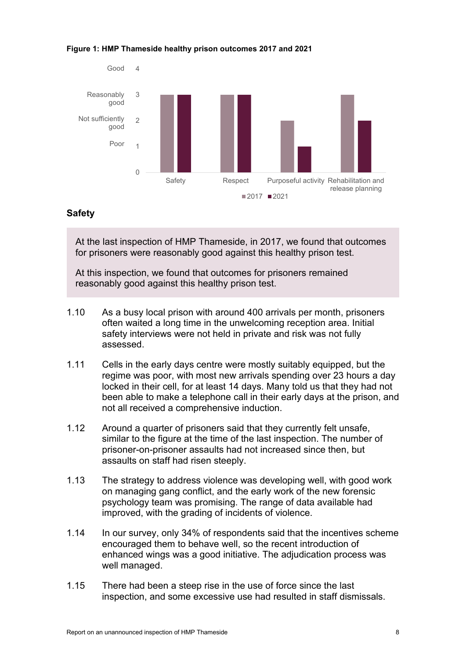#### **Figure 1: HMP Thameside healthy prison outcomes 2017 and 2021**



## **Safety**

At the last inspection of HMP Thameside, in 2017, we found that outcomes for prisoners were reasonably good against this healthy prison test.

At this inspection, we found that outcomes for prisoners remained reasonably good against this healthy prison test.

- 1.10 As a busy local prison with around 400 arrivals per month, prisoners often waited a long time in the unwelcoming reception area. Initial safety interviews were not held in private and risk was not fully assessed.
- 1.11 Cells in the early days centre were mostly suitably equipped, but the regime was poor, with most new arrivals spending over 23 hours a day locked in their cell, for at least 14 days. Many told us that they had not been able to make a telephone call in their early days at the prison, and not all received a comprehensive induction.
- 1.12 Around a quarter of prisoners said that they currently felt unsafe, similar to the figure at the time of the last inspection. The number of prisoner-on-prisoner assaults had not increased since then, but assaults on staff had risen steeply.
- 1.13 The strategy to address violence was developing well, with good work on managing gang conflict, and the early work of the new forensic psychology team was promising. The range of data available had improved, with the grading of incidents of violence.
- 1.14 In our survey, only 34% of respondents said that the incentives scheme encouraged them to behave well, so the recent introduction of enhanced wings was a good initiative. The adjudication process was well managed.
- 1.15 There had been a steep rise in the use of force since the last inspection, and some excessive use had resulted in staff dismissals.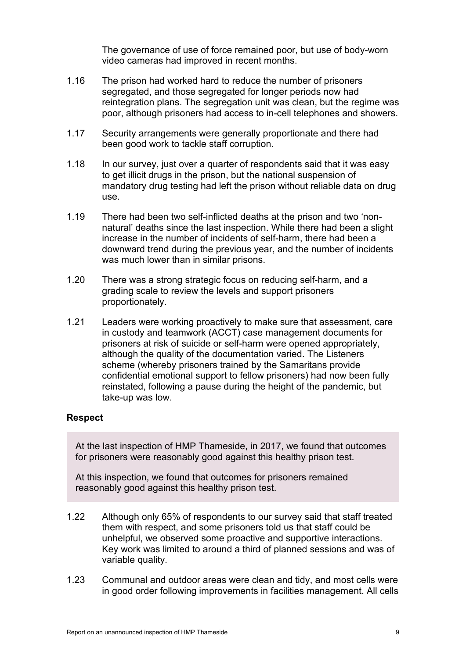The governance of use of force remained poor, but use of body-worn video cameras had improved in recent months.

- 1.16 The prison had worked hard to reduce the number of prisoners segregated, and those segregated for longer periods now had reintegration plans. The segregation unit was clean, but the regime was poor, although prisoners had access to in-cell telephones and showers.
- 1.17 Security arrangements were generally proportionate and there had been good work to tackle staff corruption.
- 1.18 In our survey, just over a quarter of respondents said that it was easy to get illicit drugs in the prison, but the national suspension of mandatory drug testing had left the prison without reliable data on drug use.
- 1.19 There had been two self-inflicted deaths at the prison and two 'nonnatural' deaths since the last inspection. While there had been a slight increase in the number of incidents of self-harm, there had been a downward trend during the previous year, and the number of incidents was much lower than in similar prisons.
- 1.20 There was a strong strategic focus on reducing self-harm, and a grading scale to review the levels and support prisoners proportionately.
- 1.21 Leaders were working proactively to make sure that assessment, care in custody and teamwork (ACCT) case management documents for prisoners at risk of suicide or self-harm were opened appropriately, although the quality of the documentation varied. The Listeners scheme (whereby prisoners trained by the Samaritans provide confidential emotional support to fellow prisoners) had now been fully reinstated, following a pause during the height of the pandemic, but take-up was low.

## **Respect**

At the last inspection of HMP Thameside, in 2017, we found that outcomes for prisoners were reasonably good against this healthy prison test.

At this inspection, we found that outcomes for prisoners remained reasonably good against this healthy prison test.

- 1.22 Although only 65% of respondents to our survey said that staff treated them with respect, and some prisoners told us that staff could be unhelpful, we observed some proactive and supportive interactions. Key work was limited to around a third of planned sessions and was of variable quality.
- 1.23 Communal and outdoor areas were clean and tidy, and most cells were in good order following improvements in facilities management. All cells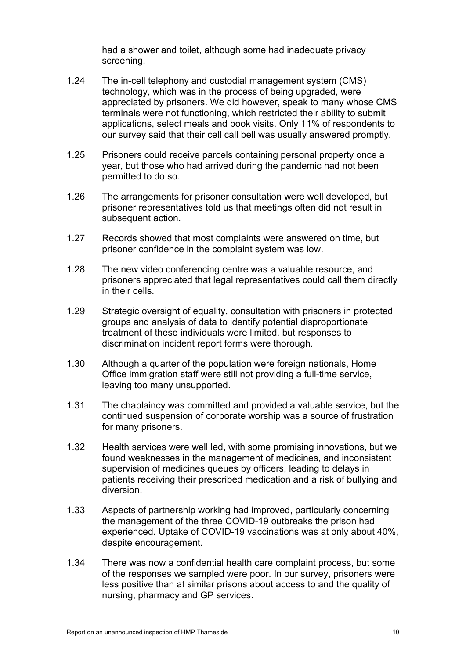had a shower and toilet, although some had inadequate privacy screening.

- 1.24 The in-cell telephony and custodial management system (CMS) technology, which was in the process of being upgraded, were appreciated by prisoners. We did however, speak to many whose CMS terminals were not functioning, which restricted their ability to submit applications, select meals and book visits. Only 11% of respondents to our survey said that their cell call bell was usually answered promptly.
- 1.25 Prisoners could receive parcels containing personal property once a year, but those who had arrived during the pandemic had not been permitted to do so.
- 1.26 The arrangements for prisoner consultation were well developed, but prisoner representatives told us that meetings often did not result in subsequent action.
- 1.27 Records showed that most complaints were answered on time, but prisoner confidence in the complaint system was low.
- 1.28 The new video conferencing centre was a valuable resource, and prisoners appreciated that legal representatives could call them directly in their cells.
- 1.29 Strategic oversight of equality, consultation with prisoners in protected groups and analysis of data to identify potential disproportionate treatment of these individuals were limited, but responses to discrimination incident report forms were thorough.
- 1.30 Although a quarter of the population were foreign nationals, Home Office immigration staff were still not providing a full-time service, leaving too many unsupported.
- 1.31 The chaplaincy was committed and provided a valuable service, but the continued suspension of corporate worship was a source of frustration for many prisoners.
- 1.32 Health services were well led, with some promising innovations, but we found weaknesses in the management of medicines, and inconsistent supervision of medicines queues by officers, leading to delays in patients receiving their prescribed medication and a risk of bullying and diversion.
- 1.33 Aspects of partnership working had improved, particularly concerning the management of the three COVID-19 outbreaks the prison had experienced. Uptake of COVID-19 vaccinations was at only about 40%, despite encouragement.
- 1.34 There was now a confidential health care complaint process, but some of the responses we sampled were poor. In our survey, prisoners were less positive than at similar prisons about access to and the quality of nursing, pharmacy and GP services.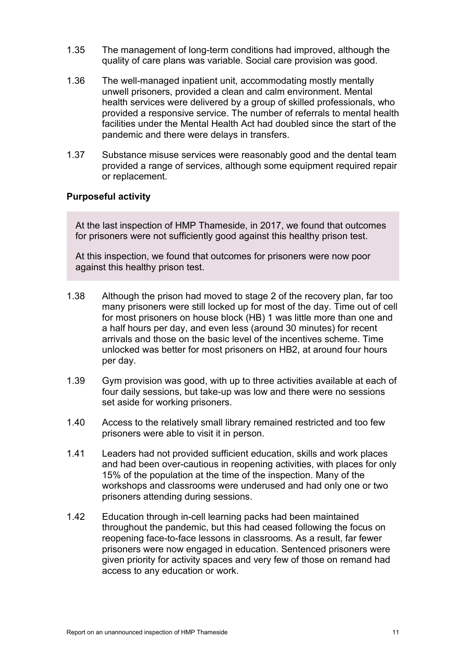- 1.35 The management of long-term conditions had improved, although the quality of care plans was variable. Social care provision was good.
- 1.36 The well-managed inpatient unit, accommodating mostly mentally unwell prisoners, provided a clean and calm environment. Mental health services were delivered by a group of skilled professionals, who provided a responsive service. The number of referrals to mental health facilities under the Mental Health Act had doubled since the start of the pandemic and there were delays in transfers.
- 1.37 Substance misuse services were reasonably good and the dental team provided a range of services, although some equipment required repair or replacement.

## **Purposeful activity**

At the last inspection of HMP Thameside, in 2017, we found that outcomes for prisoners were not sufficiently good against this healthy prison test.

At this inspection, we found that outcomes for prisoners were now poor against this healthy prison test.

- 1.38 Although the prison had moved to stage 2 of the recovery plan, far too many prisoners were still locked up for most of the day. Time out of cell for most prisoners on house block (HB) 1 was little more than one and a half hours per day, and even less (around 30 minutes) for recent arrivals and those on the basic level of the incentives scheme. Time unlocked was better for most prisoners on HB2, at around four hours per day.
- 1.39 Gym provision was good, with up to three activities available at each of four daily sessions, but take-up was low and there were no sessions set aside for working prisoners.
- 1.40 Access to the relatively small library remained restricted and too few prisoners were able to visit it in person.
- 1.41 Leaders had not provided sufficient education, skills and work places and had been over-cautious in reopening activities, with places for only 15% of the population at the time of the inspection. Many of the workshops and classrooms were underused and had only one or two prisoners attending during sessions.
- 1.42 Education through in-cell learning packs had been maintained throughout the pandemic, but this had ceased following the focus on reopening face-to-face lessons in classrooms. As a result, far fewer prisoners were now engaged in education. Sentenced prisoners were given priority for activity spaces and very few of those on remand had access to any education or work.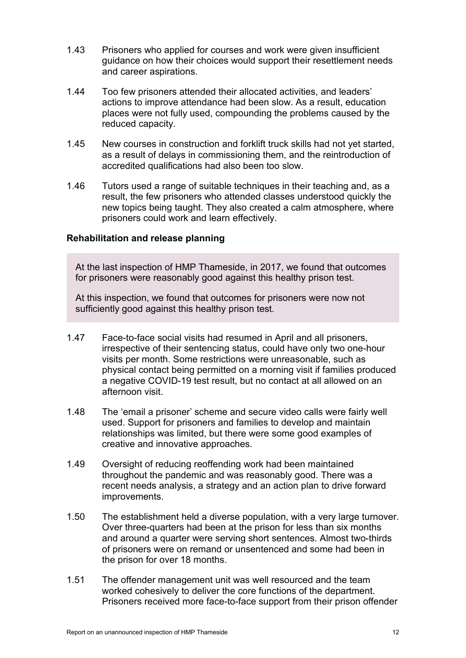- 1.43 Prisoners who applied for courses and work were given insufficient guidance on how their choices would support their resettlement needs and career aspirations.
- 1.44 Too few prisoners attended their allocated activities, and leaders' actions to improve attendance had been slow. As a result, education places were not fully used, compounding the problems caused by the reduced capacity.
- 1.45 New courses in construction and forklift truck skills had not yet started, as a result of delays in commissioning them, and the reintroduction of accredited qualifications had also been too slow.
- 1.46 Tutors used a range of suitable techniques in their teaching and, as a result, the few prisoners who attended classes understood quickly the new topics being taught. They also created a calm atmosphere, where prisoners could work and learn effectively.

## **Rehabilitation and release planning**

At the last inspection of HMP Thameside, in 2017, we found that outcomes for prisoners were reasonably good against this healthy prison test.

At this inspection, we found that outcomes for prisoners were now not sufficiently good against this healthy prison test.

- 1.47 Face-to-face social visits had resumed in April and all prisoners, irrespective of their sentencing status, could have only two one-hour visits per month. Some restrictions were unreasonable, such as physical contact being permitted on a morning visit if families produced a negative COVID-19 test result, but no contact at all allowed on an afternoon visit.
- 1.48 The 'email a prisoner' scheme and secure video calls were fairly well used. Support for prisoners and families to develop and maintain relationships was limited, but there were some good examples of creative and innovative approaches.
- 1.49 Oversight of reducing reoffending work had been maintained throughout the pandemic and was reasonably good. There was a recent needs analysis, a strategy and an action plan to drive forward improvements.
- 1.50 The establishment held a diverse population, with a very large turnover. Over three-quarters had been at the prison for less than six months and around a quarter were serving short sentences. Almost two-thirds of prisoners were on remand or unsentenced and some had been in the prison for over 18 months.
- 1.51 The offender management unit was well resourced and the team worked cohesively to deliver the core functions of the department. Prisoners received more face-to-face support from their prison offender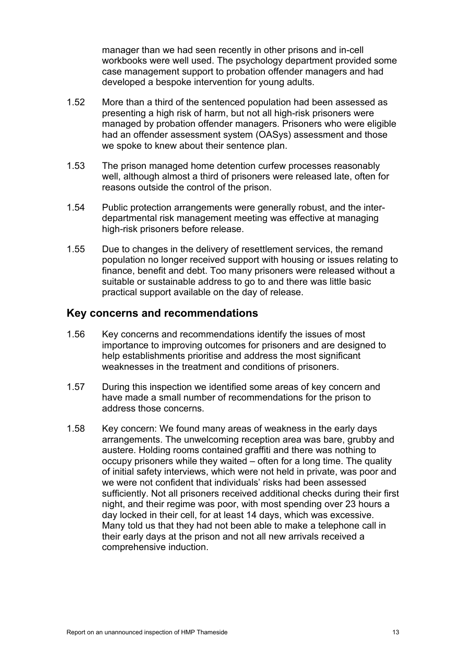manager than we had seen recently in other prisons and in-cell workbooks were well used. The psychology department provided some case management support to probation offender managers and had developed a bespoke intervention for young adults.

- 1.52 More than a third of the sentenced population had been assessed as presenting a high risk of harm, but not all high-risk prisoners were managed by probation offender managers. Prisoners who were eligible had an offender assessment system (OASys) assessment and those we spoke to knew about their sentence plan.
- 1.53 The prison managed home detention curfew processes reasonably well, although almost a third of prisoners were released late, often for reasons outside the control of the prison.
- 1.54 Public protection arrangements were generally robust, and the interdepartmental risk management meeting was effective at managing high-risk prisoners before release.
- 1.55 Due to changes in the delivery of resettlement services, the remand population no longer received support with housing or issues relating to finance, benefit and debt. Too many prisoners were released without a suitable or sustainable address to go to and there was little basic practical support available on the day of release.

## **Key concerns and recommendations**

- 1.56 Key concerns and recommendations identify the issues of most importance to improving outcomes for prisoners and are designed to help establishments prioritise and address the most significant weaknesses in the treatment and conditions of prisoners.
- 1.57 During this inspection we identified some areas of key concern and have made a small number of recommendations for the prison to address those concerns.
- <span id="page-12-0"></span>1.58 Key concern: We found many areas of weakness in the early days arrangements. The unwelcoming reception area was bare, grubby and austere. Holding rooms contained graffiti and there was nothing to occupy prisoners while they waited – often for a long time. The quality of initial safety interviews, which were not held in private, was poor and we were not confident that individuals' risks had been assessed sufficiently. Not all prisoners received additional checks during their first night, and their regime was poor, with most spending over 23 hours a day locked in their cell, for at least 14 days, which was excessive. Many told us that they had not been able to make a telephone call in their early days at the prison and not all new arrivals received a comprehensive induction.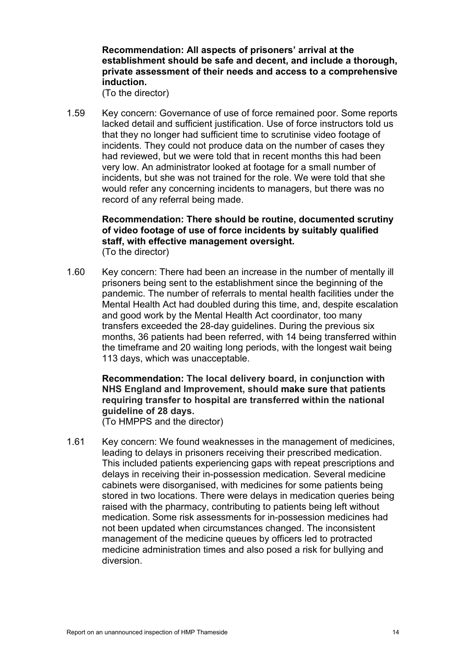## **Recommendation: All aspects of prisoners' arrival at the establishment should be safe and decent, and include a thorough, private assessment of their needs and access to a comprehensive induction.**

(To the director)

<span id="page-13-0"></span>1.59 Key concern: Governance of use of force remained poor. Some reports lacked detail and sufficient justification. Use of force instructors told us that they no longer had sufficient time to scrutinise video footage of incidents. They could not produce data on the number of cases they had reviewed, but we were told that in recent months this had been very low. An administrator looked at footage for a small number of incidents, but she was not trained for the role. We were told that she would refer any concerning incidents to managers, but there was no record of any referral being made.

### **Recommendation: There should be routine, documented scrutiny of video footage of use of force incidents by suitably qualified staff, with effective management oversight.** (To the director)

1.60 Key concern: There had been an increase in the number of mentally ill prisoners being sent to the establishment since the beginning of the pandemic. The number of referrals to mental health facilities under the Mental Health Act had doubled during this time, and, despite escalation and good work by the Mental Health Act coordinator, too many transfers exceeded the 28-day guidelines. During the previous six months, 36 patients had been referred, with 14 being transferred within the timeframe and 20 waiting long periods, with the longest wait being 113 days, which was unacceptable.

## **Recommendation: The local delivery board, in conjunction with NHS England and Improvement, should make sure that patients requiring transfer to hospital are transferred within the national guideline of 28 days.**

(To HMPPS and the director)

1.61 Key concern: We found weaknesses in the management of medicines, leading to delays in prisoners receiving their prescribed medication. This included patients experiencing gaps with repeat prescriptions and delays in receiving their in-possession medication. Several medicine cabinets were disorganised, with medicines for some patients being stored in two locations. There were delays in medication queries being raised with the pharmacy, contributing to patients being left without medication. Some risk assessments for in-possession medicines had not been updated when circumstances changed. The inconsistent management of the medicine queues by officers led to protracted medicine administration times and also posed a risk for bullying and diversion.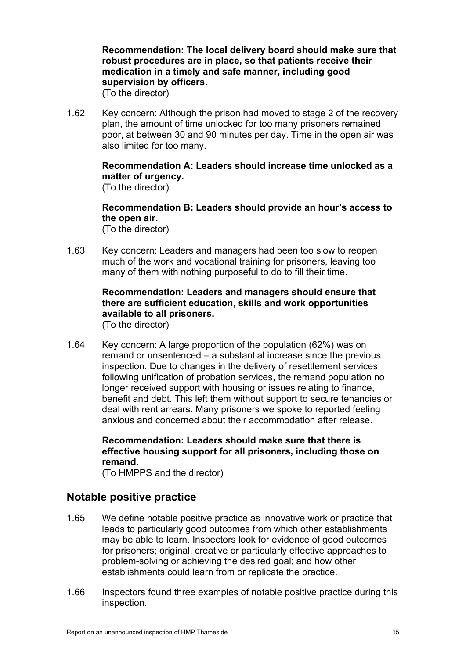**Recommendation: The local delivery board should make sure that robust procedures are in place, so that patients receive their medication in a timely and safe manner, including good supervision by officers.**

(To the director)

1.62 Key concern: Although the prison had moved to stage 2 of the recovery plan, the amount of time unlocked for too many prisoners remained poor, at between 30 and 90 minutes per day. Time in the open air was also limited for too many.

> **Recommendation A: Leaders should increase time unlocked as a matter of urgency.** (To the director)

> **Recommendation B: Leaders should provide an hour's access to the open air.**  (To the director)

<span id="page-14-0"></span>1.63 Key concern: Leaders and managers had been too slow to reopen much of the work and vocational training for prisoners, leaving too many of them with nothing purposeful to do to fill their time.

## **Recommendation: Leaders and managers should ensure that there are sufficient education, skills and work opportunities available to all prisoners.**

(To the director)

1.64 Key concern: A large proportion of the population (62%) was on remand or unsentenced – a substantial increase since the previous inspection. Due to changes in the delivery of resettlement services following unification of probation services, the remand population no longer received support with housing or issues relating to finance, benefit and debt. This left them without support to secure tenancies or deal with rent arrears. Many prisoners we spoke to reported feeling anxious and concerned about their accommodation after release.

## **Recommendation: Leaders should make sure that there is effective housing support for all prisoners, including those on remand.**

(To HMPPS and the director)

## **Notable positive practice**

- 1.65 We define notable positive practice as innovative work or practice that leads to particularly good outcomes from which other establishments may be able to learn. Inspectors look for evidence of good outcomes for prisoners; original, creative or particularly effective approaches to problem-solving or achieving the desired goal; and how other establishments could learn from or replicate the practice.
- 1.66 Inspectors found three examples of notable positive practice during this inspection.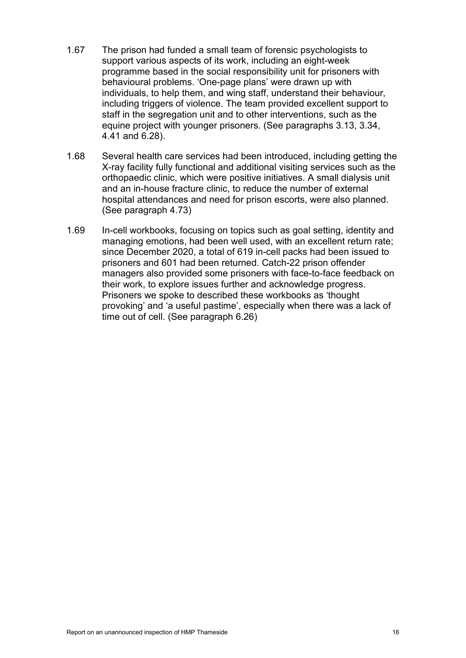- 1.67 The prison had funded a small team of forensic psychologists to support various aspects of its work, including an eight-week programme based in the social responsibility unit for prisoners with behavioural problems. 'One-page plans' were drawn up with individuals, to help them, and wing staff, understand their behaviour, including triggers of violence. The team provided excellent support to staff in the segregation unit and to other interventions, such as the equine project with younger prisoners. (See paragraphs [3.13,](#page-20-0) [3.34,](#page-23-0) [4.41](#page-36-0) and [6.28\)](#page-57-0).
- 1.68 Several health care services had been introduced, including getting the X-ray facility fully functional and additional visiting services such as the orthopaedic clinic, which were positive initiatives. A small dialysis unit and an in-house fracture clinic, to reduce the number of external hospital attendances and need for prison escorts, were also planned. (See paragraph [4.73\)](#page-40-0)
- 1.69 In-cell workbooks, focusing on topics such as goal setting, identity and managing emotions, had been well used, with an excellent return rate; since December 2020, a total of 619 in-cell packs had been issued to prisoners and 601 had been returned. Catch-22 prison offender managers also provided some prisoners with face-to-face feedback on their work, to explore issues further and acknowledge progress. Prisoners we spoke to described these workbooks as 'thought provoking' and 'a useful pastime', especially when there was a lack of time out of cell. (See paragraph [6.26\)](#page-57-1)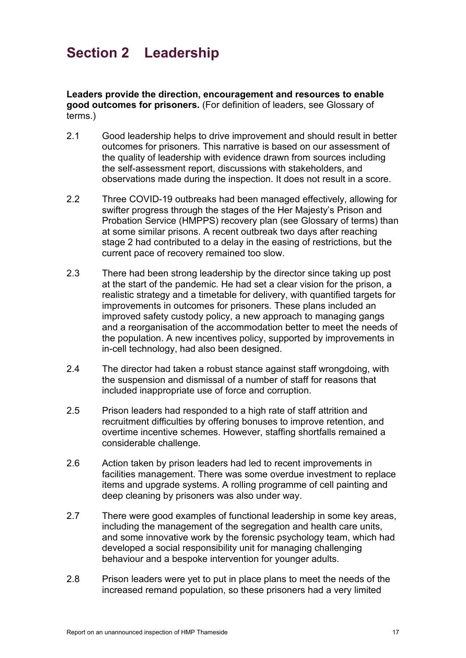<span id="page-16-0"></span>**Leaders provide the direction, encouragement and resources to enable good outcomes for prisoners.** (For definition of leaders, see Glossary of terms.)

- 2.1 Good leadership helps to drive improvement and should result in better outcomes for prisoners. This narrative is based on our assessment of the quality of leadership with evidence drawn from sources including the self-assessment report, discussions with stakeholders, and observations made during the inspection. It does not result in a score.
- 2.2 Three COVID-19 outbreaks had been managed effectively, allowing for swifter progress through the stages of the Her Majesty's Prison and Probation Service (HMPPS) recovery plan (see Glossary of terms) than at some similar prisons. A recent outbreak two days after reaching stage 2 had contributed to a delay in the easing of restrictions, but the current pace of recovery remained too slow.
- 2.3 There had been strong leadership by the director since taking up post at the start of the pandemic. He had set a clear vision for the prison, a realistic strategy and a timetable for delivery, with quantified targets for improvements in outcomes for prisoners. These plans included an improved safety custody policy, a new approach to managing gangs and a reorganisation of the accommodation better to meet the needs of the population. A new incentives policy, supported by improvements in in-cell technology, had also been designed.
- 2.4 The director had taken a robust stance against staff wrongdoing, with the suspension and dismissal of a number of staff for reasons that included inappropriate use of force and corruption.
- 2.5 Prison leaders had responded to a high rate of staff attrition and recruitment difficulties by offering bonuses to improve retention, and overtime incentive schemes. However, staffing shortfalls remained a considerable challenge.
- 2.6 Action taken by prison leaders had led to recent improvements in facilities management. There was some overdue investment to replace items and upgrade systems. A rolling programme of cell painting and deep cleaning by prisoners was also under way.
- 2.7 There were good examples of functional leadership in some key areas, including the management of the segregation and health care units, and some innovative work by the forensic psychology team, which had developed a social responsibility unit for managing challenging behaviour and a bespoke intervention for younger adults.
- 2.8 Prison leaders were yet to put in place plans to meet the needs of the increased remand population, so these prisoners had a very limited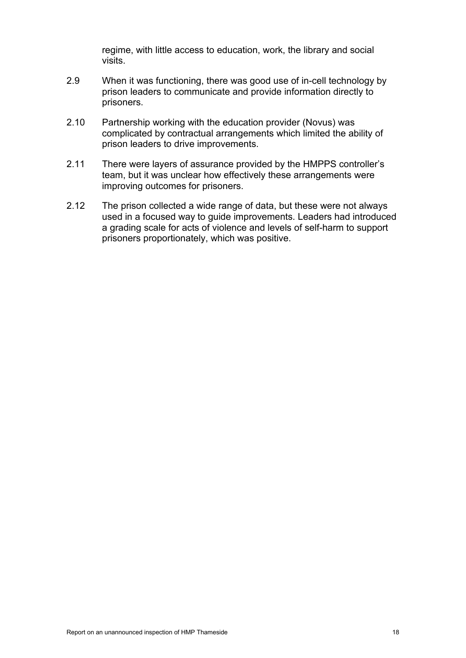regime, with little access to education, work, the library and social visits.

- 2.9 When it was functioning, there was good use of in-cell technology by prison leaders to communicate and provide information directly to prisoners.
- 2.10 Partnership working with the education provider (Novus) was complicated by contractual arrangements which limited the ability of prison leaders to drive improvements.
- 2.11 There were layers of assurance provided by the HMPPS controller's team, but it was unclear how effectively these arrangements were improving outcomes for prisoners.
- 2.12 The prison collected a wide range of data, but these were not always used in a focused way to guide improvements. Leaders had introduced a grading scale for acts of violence and levels of self-harm to support prisoners proportionately, which was positive.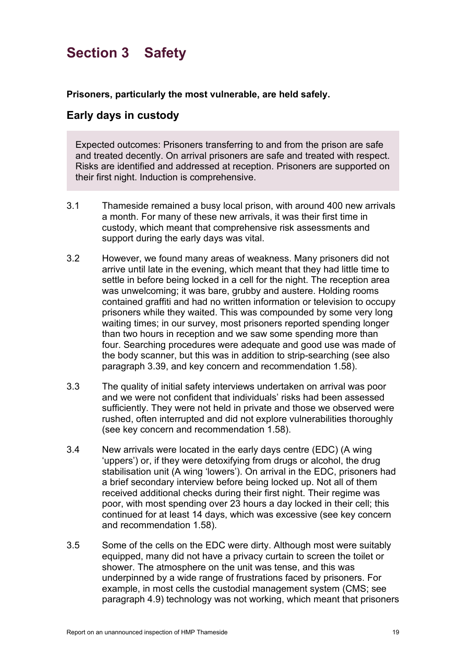# <span id="page-18-0"></span>**Section 3 Safety**

**Prisoners, particularly the most vulnerable, are held safely.**

## **Early days in custody**

Expected outcomes: Prisoners transferring to and from the prison are safe and treated decently. On arrival prisoners are safe and treated with respect. Risks are identified and addressed at reception. Prisoners are supported on their first night. Induction is comprehensive.

- 3.1 Thameside remained a busy local prison, with around 400 new arrivals a month. For many of these new arrivals, it was their first time in custody, which meant that comprehensive risk assessments and support during the early days was vital.
- <span id="page-18-1"></span>3.2 However, we found many areas of weakness. Many prisoners did not arrive until late in the evening, which meant that they had little time to settle in before being locked in a cell for the night. The reception area was unwelcoming; it was bare, grubby and austere. Holding rooms contained graffiti and had no written information or television to occupy prisoners while they waited. This was compounded by some very long waiting times; in our survey, most prisoners reported spending longer than two hours in reception and we saw some spending more than four. Searching procedures were adequate and good use was made of the body scanner, but this was in addition to strip-searching (see also paragraph [3.39,](#page-24-0) and key concern and recommendation [1.58\)](#page-12-0).
- 3.3 The quality of initial safety interviews undertaken on arrival was poor and we were not confident that individuals' risks had been assessed sufficiently. They were not held in private and those we observed were rushed, often interrupted and did not explore vulnerabilities thoroughly (see key concern and recommendation [1.58\)](#page-12-0).
- 3.4 New arrivals were located in the early days centre (EDC) (A wing 'uppers') or, if they were detoxifying from drugs or alcohol, the drug stabilisation unit (A wing 'lowers'). On arrival in the EDC, prisoners had a brief secondary interview before being locked up. Not all of them received additional checks during their first night. Their regime was poor, with most spending over 23 hours a day locked in their cell; this continued for at least 14 days, which was excessive (see key concern and recommendation 1.58).
- 3.5 Some of the cells on the EDC were dirty. Although most were suitably equipped, many did not have a privacy curtain to screen the toilet or shower. The atmosphere on the unit was tense, and this was underpinned by a wide range of frustrations faced by prisoners. For example, in most cells the custodial management system (CMS; see paragraph [4.9\)](#page-29-0) technology was not working, which meant that prisoners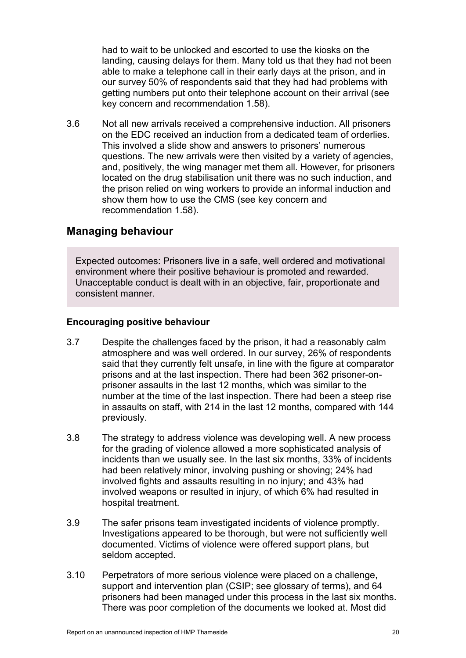had to wait to be unlocked and escorted to use the kiosks on the landing, causing delays for them. Many told us that they had not been able to make a telephone call in their early days at the prison, and in our survey 50% of respondents said that they had had problems with getting numbers put onto their telephone account on their arrival (see key concern and recommendation [1.58\)](#page-12-0).

3.6 Not all new arrivals received a comprehensive induction. All prisoners on the EDC received an induction from a dedicated team of orderlies. This involved a slide show and answers to prisoners' numerous questions. The new arrivals were then visited by a variety of agencies, and, positively, the wing manager met them all. However, for prisoners located on the drug stabilisation unit there was no such induction, and the prison relied on wing workers to provide an informal induction and show them how to use the CMS (see key concern and recommendation [1.58\)](#page-12-0).

## **Managing behaviour**

Expected outcomes: Prisoners live in a safe, well ordered and motivational environment where their positive behaviour is promoted and rewarded. Unacceptable conduct is dealt with in an objective, fair, proportionate and consistent manner.

## **Encouraging positive behaviour**

- 3.7 Despite the challenges faced by the prison, it had a reasonably calm atmosphere and was well ordered. In our survey, 26% of respondents said that they currently felt unsafe, in line with the figure at comparator prisons and at the last inspection. There had been 362 prisoner-onprisoner assaults in the last 12 months, which was similar to the number at the time of the last inspection. There had been a steep rise in assaults on staff, with 214 in the last 12 months, compared with 144 previously.
- 3.8 The strategy to address violence was developing well. A new process for the grading of violence allowed a more sophisticated analysis of incidents than we usually see. In the last six months, 33% of incidents had been relatively minor, involving pushing or shoving; 24% had involved fights and assaults resulting in no injury; and 43% had involved weapons or resulted in injury, of which 6% had resulted in hospital treatment.
- 3.9 The safer prisons team investigated incidents of violence promptly. Investigations appeared to be thorough, but were not sufficiently well documented. Victims of violence were offered support plans, but seldom accepted.
- 3.10 Perpetrators of more serious violence were placed on a challenge, support and intervention plan (CSIP; see glossary of terms), and 64 prisoners had been managed under this process in the last six months. There was poor completion of the documents we looked at. Most did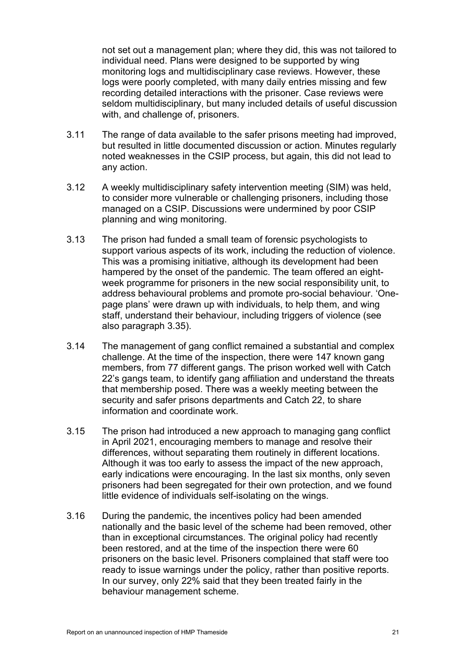not set out a management plan; where they did, this was not tailored to individual need. Plans were designed to be supported by wing monitoring logs and multidisciplinary case reviews. However, these logs were poorly completed, with many daily entries missing and few recording detailed interactions with the prisoner. Case reviews were seldom multidisciplinary, but many included details of useful discussion with, and challenge of, prisoners.

- 3.11 The range of data available to the safer prisons meeting had improved, but resulted in little documented discussion or action. Minutes regularly noted weaknesses in the CSIP process, but again, this did not lead to any action.
- <span id="page-20-1"></span>3.12 A weekly multidisciplinary safety intervention meeting (SIM) was held, to consider more vulnerable or challenging prisoners, including those managed on a CSIP. Discussions were undermined by poor CSIP planning and wing monitoring.
- <span id="page-20-0"></span>3.13 The prison had funded a small team of forensic psychologists to support various aspects of its work, including the reduction of violence. This was a promising initiative, although its development had been hampered by the onset of the pandemic. The team offered an eightweek programme for prisoners in the new social responsibility unit, to address behavioural problems and promote pro-social behaviour. 'Onepage plans' were drawn up with individuals, to help them, and wing staff, understand their behaviour, including triggers of violence (see also paragraph [3.35\)](#page-23-1).
- 3.14 The management of gang conflict remained a substantial and complex challenge. At the time of the inspection, there were 147 known gang members, from 77 different gangs. The prison worked well with Catch 22's gangs team, to identify gang affiliation and understand the threats that membership posed. There was a weekly meeting between the security and safer prisons departments and Catch 22, to share information and coordinate work.
- 3.15 The prison had introduced a new approach to managing gang conflict in April 2021, encouraging members to manage and resolve their differences, without separating them routinely in different locations. Although it was too early to assess the impact of the new approach, early indications were encouraging. In the last six months, only seven prisoners had been segregated for their own protection, and we found little evidence of individuals self-isolating on the wings.
- 3.16 During the pandemic, the incentives policy had been amended nationally and the basic level of the scheme had been removed, other than in exceptional circumstances. The original policy had recently been restored, and at the time of the inspection there were 60 prisoners on the basic level. Prisoners complained that staff were too ready to issue warnings under the policy, rather than positive reports. In our survey, only 22% said that they been treated fairly in the behaviour management scheme.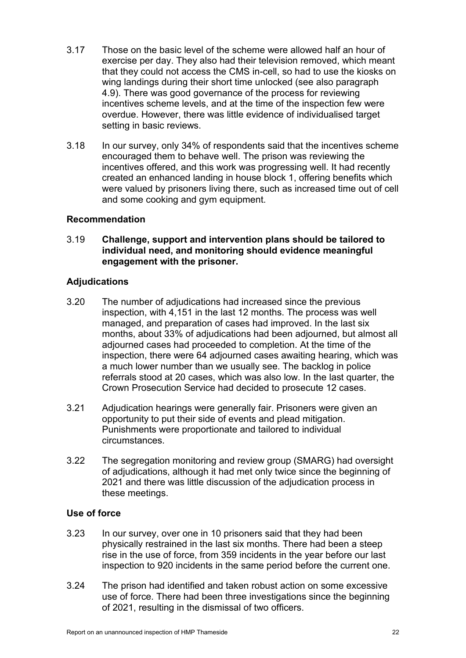- 3.17 Those on the basic level of the scheme were allowed half an hour of exercise per day. They also had their television removed, which meant that they could not access the CMS in-cell, so had to use the kiosks on wing landings during their short time unlocked (see also paragraph [4.9\)](#page-29-0). There was good governance of the process for reviewing incentives scheme levels, and at the time of the inspection few were overdue. However, there was little evidence of individualised target setting in basic reviews.
- 3.18 In our survey, only 34% of respondents said that the incentives scheme encouraged them to behave well. The prison was reviewing the incentives offered, and this work was progressing well. It had recently created an enhanced landing in house block 1, offering benefits which were valued by prisoners living there, such as increased time out of cell and some cooking and gym equipment.

## **Recommendation**

3.19 **Challenge, support and intervention plans should be tailored to individual need, and monitoring should evidence meaningful engagement with the prisoner.**

### **Adjudications**

- 3.20 The number of adjudications had increased since the previous inspection, with 4,151 in the last 12 months. The process was well managed, and preparation of cases had improved. In the last six months, about 33% of adjudications had been adjourned, but almost all adjourned cases had proceeded to completion. At the time of the inspection, there were 64 adjourned cases awaiting hearing, which was a much lower number than we usually see. The backlog in police referrals stood at 20 cases, which was also low. In the last quarter, the Crown Prosecution Service had decided to prosecute 12 cases.
- 3.21 Adjudication hearings were generally fair. Prisoners were given an opportunity to put their side of events and plead mitigation. Punishments were proportionate and tailored to individual circumstances.
- 3.22 The segregation monitoring and review group (SMARG) had oversight of adjudications, although it had met only twice since the beginning of 2021 and there was little discussion of the adjudication process in these meetings.

## **Use of force**

- 3.23 In our survey, over one in 10 prisoners said that they had been physically restrained in the last six months. There had been a steep rise in the use of force, from 359 incidents in the year before our last inspection to 920 incidents in the same period before the current one.
- 3.24 The prison had identified and taken robust action on some excessive use of force. There had been three investigations since the beginning of 2021, resulting in the dismissal of two officers.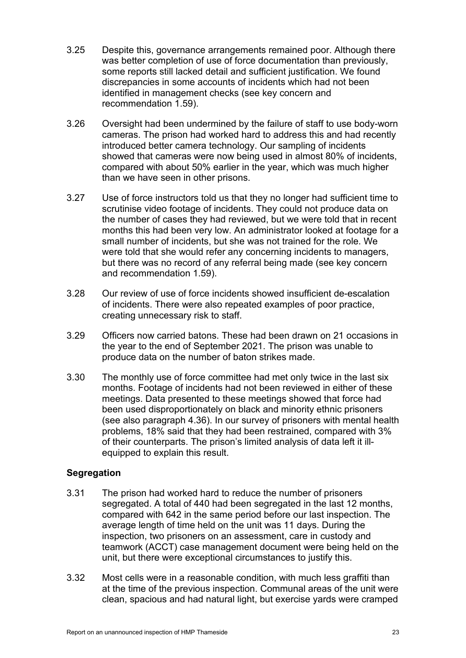- 3.25 Despite this, governance arrangements remained poor. Although there was better completion of use of force documentation than previously, some reports still lacked detail and sufficient justification. We found discrepancies in some accounts of incidents which had not been identified in management checks (see key concern and recommendation [1.59\)](#page-13-0).
- 3.26 Oversight had been undermined by the failure of staff to use body-worn cameras. The prison had worked hard to address this and had recently introduced better camera technology. Our sampling of incidents showed that cameras were now being used in almost 80% of incidents, compared with about 50% earlier in the year, which was much higher than we have seen in other prisons.
- 3.27 Use of force instructors told us that they no longer had sufficient time to scrutinise video footage of incidents. They could not produce data on the number of cases they had reviewed, but we were told that in recent months this had been very low. An administrator looked at footage for a small number of incidents, but she was not trained for the role. We were told that she would refer any concerning incidents to managers, but there was no record of any referral being made (see key concern and recommendation [1.59\)](#page-13-0).
- 3.28 Our review of use of force incidents showed insufficient de-escalation of incidents. There were also repeated examples of poor practice, creating unnecessary risk to staff.
- 3.29 Officers now carried batons. These had been drawn on 21 occasions in the year to the end of September 2021. The prison was unable to produce data on the number of baton strikes made.
- 3.30 The monthly use of force committee had met only twice in the last six months. Footage of incidents had not been reviewed in either of these meetings. Data presented to these meetings showed that force had been used disproportionately on black and minority ethnic prisoners (see also paragraph [4.36\)](#page-35-0). In our survey of prisoners with mental health problems, 18% said that they had been restrained, compared with 3% of their counterparts. The prison's limited analysis of data left it illequipped to explain this result.

## **Segregation**

- <span id="page-22-0"></span>3.31 The prison had worked hard to reduce the number of prisoners segregated. A total of 440 had been segregated in the last 12 months, compared with 642 in the same period before our last inspection. The average length of time held on the unit was 11 days. During the inspection, two prisoners on an assessment, care in custody and teamwork (ACCT) case management document were being held on the unit, but there were exceptional circumstances to justify this.
- 3.32 Most cells were in a reasonable condition, with much less graffiti than at the time of the previous inspection. Communal areas of the unit were clean, spacious and had natural light, but exercise yards were cramped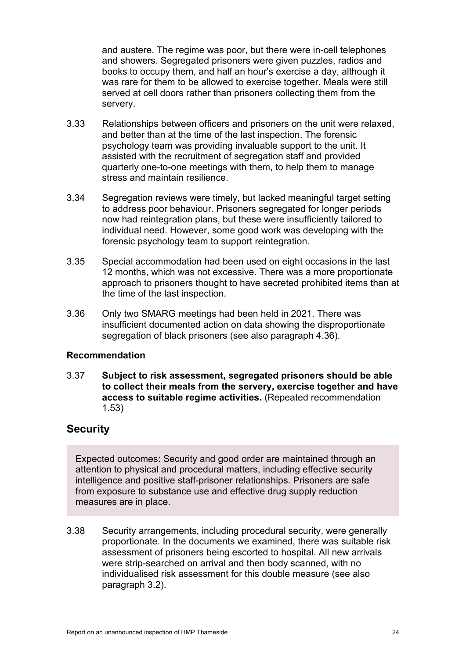and austere. The regime was poor, but there were in-cell telephones and showers. Segregated prisoners were given puzzles, radios and books to occupy them, and half an hour's exercise a day, although it was rare for them to be allowed to exercise together. Meals were still served at cell doors rather than prisoners collecting them from the servery.

- 3.33 Relationships between officers and prisoners on the unit were relaxed, and better than at the time of the last inspection. The forensic psychology team was providing invaluable support to the unit. It assisted with the recruitment of segregation staff and provided quarterly one-to-one meetings with them, to help them to manage stress and maintain resilience.
- <span id="page-23-0"></span>3.34 Segregation reviews were timely, but lacked meaningful target setting to address poor behaviour. Prisoners segregated for longer periods now had reintegration plans, but these were insufficiently tailored to individual need. However, some good work was developing with the forensic psychology team to support reintegration.
- <span id="page-23-1"></span>3.35 Special accommodation had been used on eight occasions in the last 12 months, which was not excessive. There was a more proportionate approach to prisoners thought to have secreted prohibited items than at the time of the last inspection.
- 3.36 Only two SMARG meetings had been held in 2021. There was insufficient documented action on data showing the disproportionate segregation of black prisoners (see also paragraph [4.36\)](#page-35-0).

## **Recommendation**

<span id="page-23-2"></span>3.37 **Subject to risk assessment, segregated prisoners should be able to collect their meals from the servery, exercise together and have access to suitable regime activities.** (Repeated recommendation 1.53)

## **Security**

Expected outcomes: Security and good order are maintained through an attention to physical and procedural matters, including effective security intelligence and positive staff-prisoner relationships. Prisoners are safe from exposure to substance use and effective drug supply reduction measures are in place.

3.38 Security arrangements, including procedural security, were generally proportionate. In the documents we examined, there was suitable risk assessment of prisoners being escorted to hospital. All new arrivals were strip-searched on arrival and then body scanned, with no individualised risk assessment for this double measure (see also paragraph [3.2\)](#page-18-1).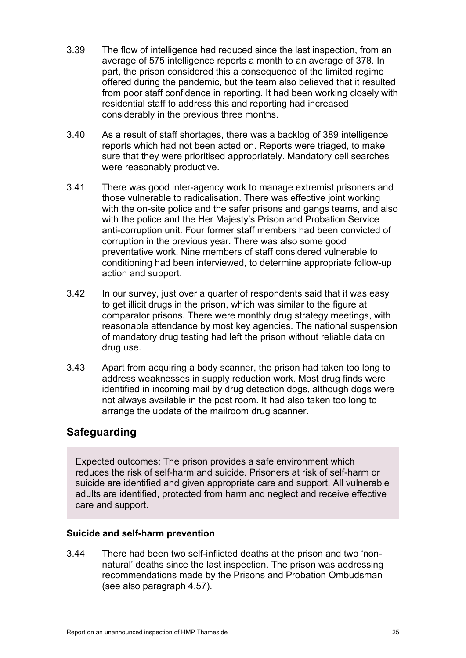- <span id="page-24-0"></span>3.39 The flow of intelligence had reduced since the last inspection, from an average of 575 intelligence reports a month to an average of 378. In part, the prison considered this a consequence of the limited regime offered during the pandemic, but the team also believed that it resulted from poor staff confidence in reporting. It had been working closely with residential staff to address this and reporting had increased considerably in the previous three months.
- 3.40 As a result of staff shortages, there was a backlog of 389 intelligence reports which had not been acted on. Reports were triaged, to make sure that they were prioritised appropriately. Mandatory cell searches were reasonably productive.
- 3.41 There was good inter-agency work to manage extremist prisoners and those vulnerable to radicalisation. There was effective joint working with the on-site police and the safer prisons and gangs teams, and also with the police and the Her Majesty's Prison and Probation Service anti-corruption unit. Four former staff members had been convicted of corruption in the previous year. There was also some good preventative work. Nine members of staff considered vulnerable to conditioning had been interviewed, to determine appropriate follow-up action and support.
- 3.42 In our survey, just over a quarter of respondents said that it was easy to get illicit drugs in the prison, which was similar to the figure at comparator prisons. There were monthly drug strategy meetings, with reasonable attendance by most key agencies. The national suspension of mandatory drug testing had left the prison without reliable data on drug use.
- 3.43 Apart from acquiring a body scanner, the prison had taken too long to address weaknesses in supply reduction work. Most drug finds were identified in incoming mail by drug detection dogs, although dogs were not always available in the post room. It had also taken too long to arrange the update of the mailroom drug scanner.

# **Safeguarding**

Expected outcomes: The prison provides a safe environment which reduces the risk of self-harm and suicide. Prisoners at risk of self-harm or suicide are identified and given appropriate care and support. All vulnerable adults are identified, protected from harm and neglect and receive effective care and support.

## **Suicide and self-harm prevention**

3.44 There had been two self-inflicted deaths at the prison and two 'nonnatural' deaths since the last inspection. The prison was addressing recommendations made by the Prisons and Probation Ombudsman (see also paragraph [4.57\)](#page-38-0).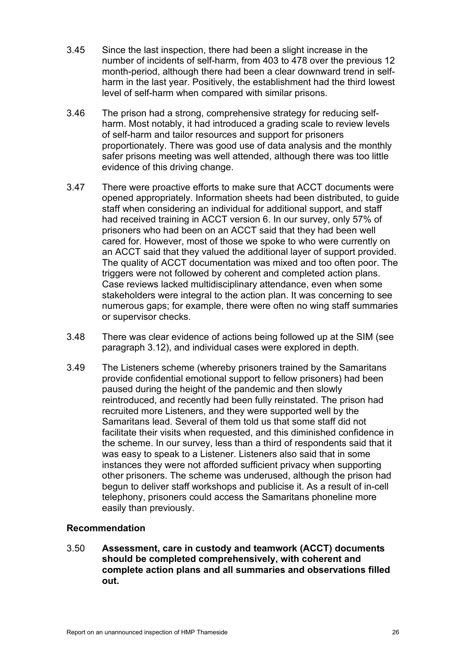- 3.45 Since the last inspection, there had been a slight increase in the number of incidents of self-harm, from 403 to 478 over the previous 12 month-period, although there had been a clear downward trend in selfharm in the last year. Positively, the establishment had the third lowest level of self-harm when compared with similar prisons.
- 3.46 The prison had a strong, comprehensive strategy for reducing selfharm. Most notably, it had introduced a grading scale to review levels of self-harm and tailor resources and support for prisoners proportionately. There was good use of data analysis and the monthly safer prisons meeting was well attended, although there was too little evidence of this driving change.
- 3.47 There were proactive efforts to make sure that ACCT documents were opened appropriately. Information sheets had been distributed, to guide staff when considering an individual for additional support, and staff had received training in ACCT version 6. In our survey, only 57% of prisoners who had been on an ACCT said that they had been well cared for. However, most of those we spoke to who were currently on an ACCT said that they valued the additional layer of support provided. The quality of ACCT documentation was mixed and too often poor. The triggers were not followed by coherent and completed action plans. Case reviews lacked multidisciplinary attendance, even when some stakeholders were integral to the action plan. It was concerning to see numerous gaps; for example, there were often no wing staff summaries or supervisor checks.
- 3.48 There was clear evidence of actions being followed up at the SIM (see paragraph [3.12\)](#page-20-1), and individual cases were explored in depth.
- 3.49 The Listeners scheme (whereby prisoners trained by the Samaritans provide confidential emotional support to fellow prisoners) had been paused during the height of the pandemic and then slowly reintroduced, and recently had been fully reinstated. The prison had recruited more Listeners, and they were supported well by the Samaritans lead. Several of them told us that some staff did not facilitate their visits when requested, and this diminished confidence in the scheme. In our survey, less than a third of respondents said that it was easy to speak to a Listener. Listeners also said that in some instances they were not afforded sufficient privacy when supporting other prisoners. The scheme was underused, although the prison had begun to deliver staff workshops and publicise it. As a result of in-cell telephony, prisoners could access the Samaritans phoneline more easily than previously.

## **Recommendation**

3.50 **Assessment, care in custody and teamwork (ACCT) documents should be completed comprehensively, with coherent and complete action plans and all summaries and observations filled out.**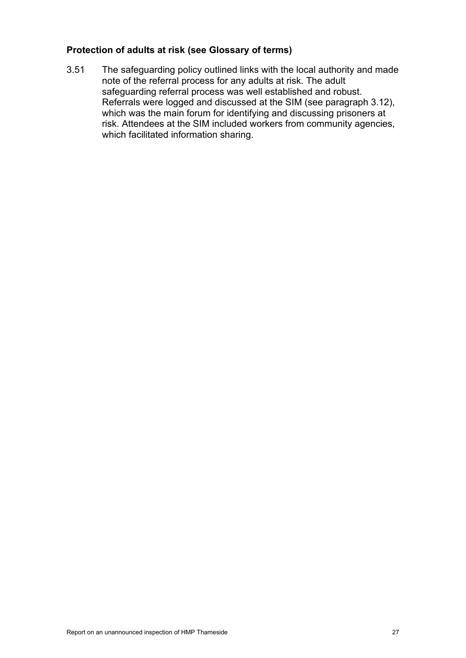## **Protection of adults at risk (see Glossary of terms)**

3.51 The safeguarding policy outlined links with the local authority and made note of the referral process for any adults at risk. The adult safeguarding referral process was well established and robust. Referrals were logged and discussed at the SIM (see paragraph [3.12\)](#page-20-1), which was the main forum for identifying and discussing prisoners at risk. Attendees at the SIM included workers from community agencies, which facilitated information sharing.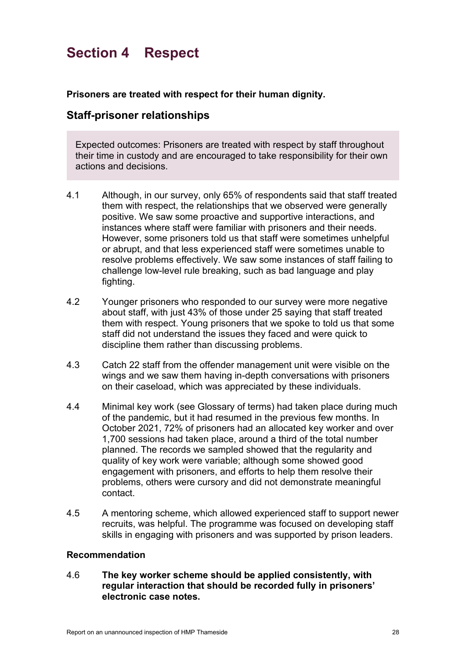# <span id="page-27-0"></span>**Section 4 Respect**

**Prisoners are treated with respect for their human dignity.**

## **Staff-prisoner relationships**

Expected outcomes: Prisoners are treated with respect by staff throughout their time in custody and are encouraged to take responsibility for their own actions and decisions.

- 4.1 Although, in our survey, only 65% of respondents said that staff treated them with respect, the relationships that we observed were generally positive. We saw some proactive and supportive interactions, and instances where staff were familiar with prisoners and their needs. However, some prisoners told us that staff were sometimes unhelpful or abrupt, and that less experienced staff were sometimes unable to resolve problems effectively. We saw some instances of staff failing to challenge low-level rule breaking, such as bad language and play fighting.
- 4.2 Younger prisoners who responded to our survey were more negative about staff, with just 43% of those under 25 saying that staff treated them with respect. Young prisoners that we spoke to told us that some staff did not understand the issues they faced and were quick to discipline them rather than discussing problems.
- 4.3 Catch 22 staff from the offender management unit were visible on the wings and we saw them having in-depth conversations with prisoners on their caseload, which was appreciated by these individuals.
- 4.4 Minimal key work (see Glossary of terms) had taken place during much of the pandemic, but it had resumed in the previous few months. In October 2021, 72% of prisoners had an allocated key worker and over 1,700 sessions had taken place, around a third of the total number planned. The records we sampled showed that the regularity and quality of key work were variable; although some showed good engagement with prisoners, and efforts to help them resolve their problems, others were cursory and did not demonstrate meaningful contact.
- 4.5 A mentoring scheme, which allowed experienced staff to support newer recruits, was helpful. The programme was focused on developing staff skills in engaging with prisoners and was supported by prison leaders.

## **Recommendation**

4.6 **The key worker scheme should be applied consistently, with regular interaction that should be recorded fully in prisoners' electronic case notes.**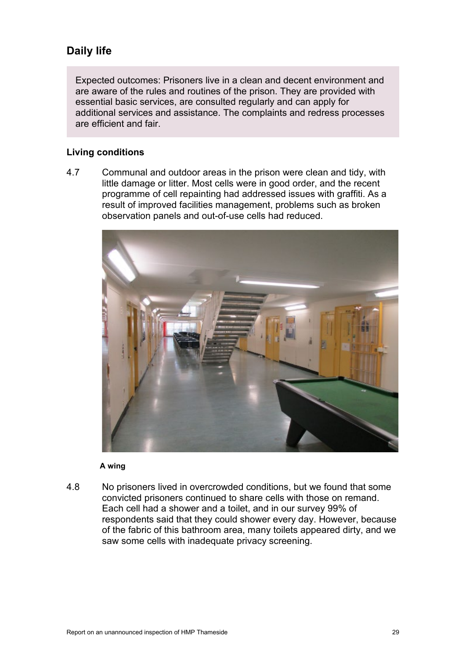# **Daily life**

Expected outcomes: Prisoners live in a clean and decent environment and are aware of the rules and routines of the prison. They are provided with essential basic services, are consulted regularly and can apply for additional services and assistance. The complaints and redress processes are efficient and fair.

## **Living conditions**

4.7 Communal and outdoor areas in the prison were clean and tidy, with little damage or litter. Most cells were in good order, and the recent programme of cell repainting had addressed issues with graffiti. As a result of improved facilities management, problems such as broken observation panels and out-of-use cells had reduced.



#### **A wing**

4.8 No prisoners lived in overcrowded conditions, but we found that some convicted prisoners continued to share cells with those on remand. Each cell had a shower and a toilet, and in our survey 99% of respondents said that they could shower every day. However, because of the fabric of this bathroom area, many toilets appeared dirty, and we saw some cells with inadequate privacy screening.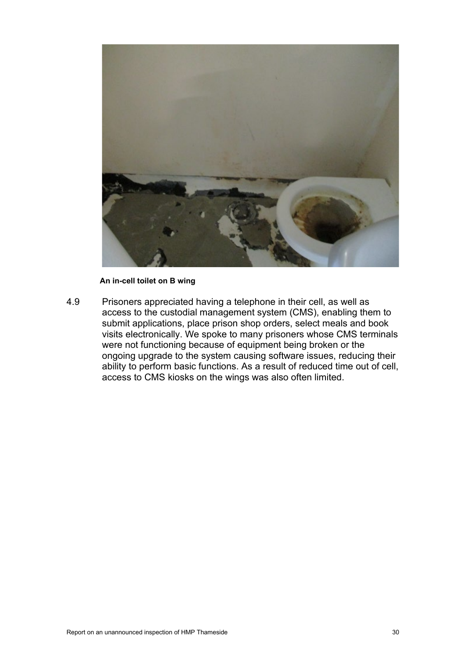

#### **An in-cell toilet on B wing**

<span id="page-29-0"></span>4.9 Prisoners appreciated having a telephone in their cell, as well as access to the custodial management system (CMS), enabling them to submit applications, place prison shop orders, select meals and book visits electronically. We spoke to many prisoners whose CMS terminals were not functioning because of equipment being broken or the ongoing upgrade to the system causing software issues, reducing their ability to perform basic functions. As a result of reduced time out of cell, access to CMS kiosks on the wings was also often limited.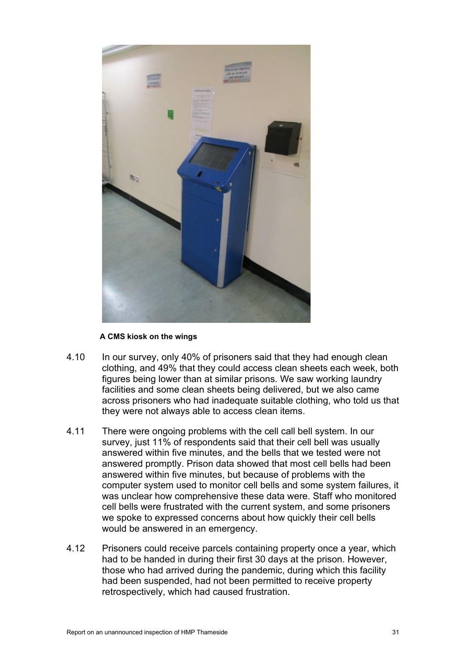

#### **A CMS kiosk on the wings**

- 4.10 In our survey, only 40% of prisoners said that they had enough clean clothing, and 49% that they could access clean sheets each week, both figures being lower than at similar prisons. We saw working laundry facilities and some clean sheets being delivered, but we also came across prisoners who had inadequate suitable clothing, who told us that they were not always able to access clean items.
- 4.11 There were ongoing problems with the cell call bell system. In our survey, just 11% of respondents said that their cell bell was usually answered within five minutes, and the bells that we tested were not answered promptly. Prison data showed that most cell bells had been answered within five minutes, but because of problems with the computer system used to monitor cell bells and some system failures, it was unclear how comprehensive these data were. Staff who monitored cell bells were frustrated with the current system, and some prisoners we spoke to expressed concerns about how quickly their cell bells would be answered in an emergency.
- 4.12 Prisoners could receive parcels containing property once a year, which had to be handed in during their first 30 days at the prison. However, those who had arrived during the pandemic, during which this facility had been suspended, had not been permitted to receive property retrospectively, which had caused frustration.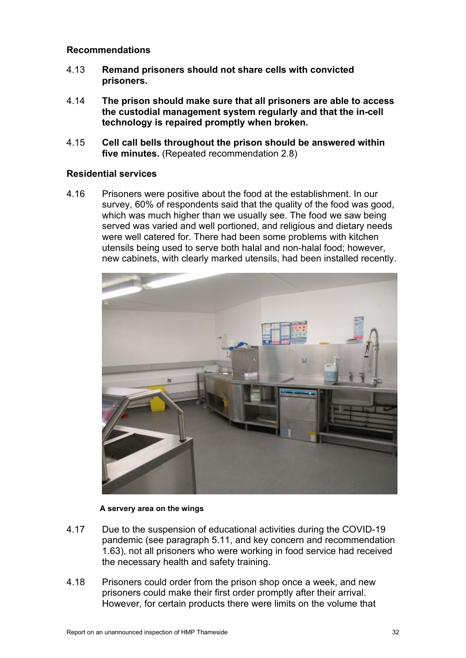## **Recommendations**

- 4.13 **Remand prisoners should not share cells with convicted prisoners.**
- <span id="page-31-0"></span>4.14 **The prison should make sure that all prisoners are able to access the custodial management system regularly and that the in-cell technology is repaired promptly when broken.**
- 4.15 **Cell call bells throughout the prison should be answered within five minutes.** (Repeated recommendation 2.8)

### **Residential services**

4.16 Prisoners were positive about the food at the establishment. In our survey, 60% of respondents said that the quality of the food was good, which was much higher than we usually see. The food we saw being served was varied and well portioned, and religious and dietary needs were well catered for. There had been some problems with kitchen utensils being used to serve both halal and non-halal food; however, new cabinets, with clearly marked utensils, had been installed recently.



#### **A servery area on the wings**

- 4.17 Due to the suspension of educational activities during the COVID-19 pandemic (see paragraph [5.11,](#page-48-0) and key concern and recommendation [1.63\)](#page-14-0), not all prisoners who were working in food service had received the necessary health and safety training.
- 4.18 Prisoners could order from the prison shop once a week, and new prisoners could make their first order promptly after their arrival. However, for certain products there were limits on the volume that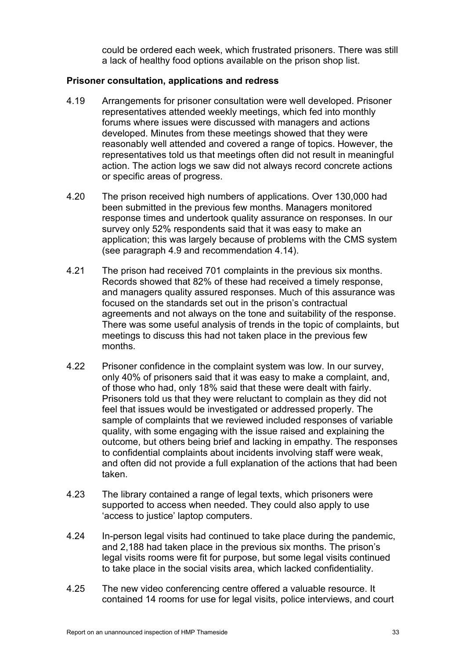could be ordered each week, which frustrated prisoners. There was still a lack of healthy food options available on the prison shop list.

## **Prisoner consultation, applications and redress**

- 4.19 Arrangements for prisoner consultation were well developed. Prisoner representatives attended weekly meetings, which fed into monthly forums where issues were discussed with managers and actions developed. Minutes from these meetings showed that they were reasonably well attended and covered a range of topics. However, the representatives told us that meetings often did not result in meaningful action. The action logs we saw did not always record concrete actions or specific areas of progress.
- 4.20 The prison received high numbers of applications. Over 130,000 had been submitted in the previous few months. Managers monitored response times and undertook quality assurance on responses. In our survey only 52% respondents said that it was easy to make an application; this was largely because of problems with the CMS system (see paragraph [4.9](#page-29-0) and recommendation [4.14\)](#page-31-0).
- 4.21 The prison had received 701 complaints in the previous six months. Records showed that 82% of these had received a timely response, and managers quality assured responses. Much of this assurance was focused on the standards set out in the prison's contractual agreements and not always on the tone and suitability of the response. There was some useful analysis of trends in the topic of complaints, but meetings to discuss this had not taken place in the previous few months.
- 4.22 Prisoner confidence in the complaint system was low. In our survey, only 40% of prisoners said that it was easy to make a complaint, and, of those who had, only 18% said that these were dealt with fairly. Prisoners told us that they were reluctant to complain as they did not feel that issues would be investigated or addressed properly. The sample of complaints that we reviewed included responses of variable quality, with some engaging with the issue raised and explaining the outcome, but others being brief and lacking in empathy. The responses to confidential complaints about incidents involving staff were weak, and often did not provide a full explanation of the actions that had been taken.
- 4.23 The library contained a range of legal texts, which prisoners were supported to access when needed. They could also apply to use 'access to justice' laptop computers.
- 4.24 In-person legal visits had continued to take place during the pandemic, and 2,188 had taken place in the previous six months. The prison's legal visits rooms were fit for purpose, but some legal visits continued to take place in the social visits area, which lacked confidentiality.
- 4.25 The new video conferencing centre offered a valuable resource. It contained 14 rooms for use for legal visits, police interviews, and court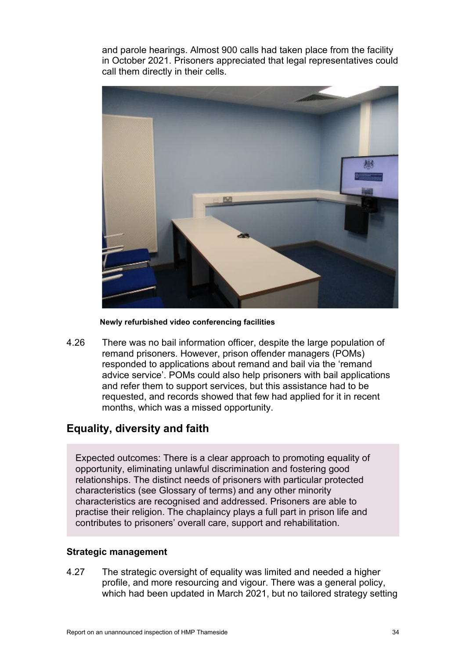and parole hearings. Almost 900 calls had taken place from the facility in October 2021. Prisoners appreciated that legal representatives could call them directly in their cells.



**Newly refurbished video conferencing facilities** 

4.26 There was no bail information officer, despite the large population of remand prisoners. However, prison offender managers (POMs) responded to applications about remand and bail via the 'remand advice service'. POMs could also help prisoners with bail applications and refer them to support services, but this assistance had to be requested, and records showed that few had applied for it in recent months, which was a missed opportunity.

## **Equality, diversity and faith**

Expected outcomes: There is a clear approach to promoting equality of opportunity, eliminating unlawful discrimination and fostering good relationships. The distinct needs of prisoners with particular protected characteristics (see Glossary of terms) and any other minority characteristics are recognised and addressed. Prisoners are able to practise their religion. The chaplaincy plays a full part in prison life and contributes to prisoners' overall care, support and rehabilitation.

## **Strategic management**

4.27 The strategic oversight of equality was limited and needed a higher profile, and more resourcing and vigour. There was a general policy, which had been updated in March 2021, but no tailored strategy setting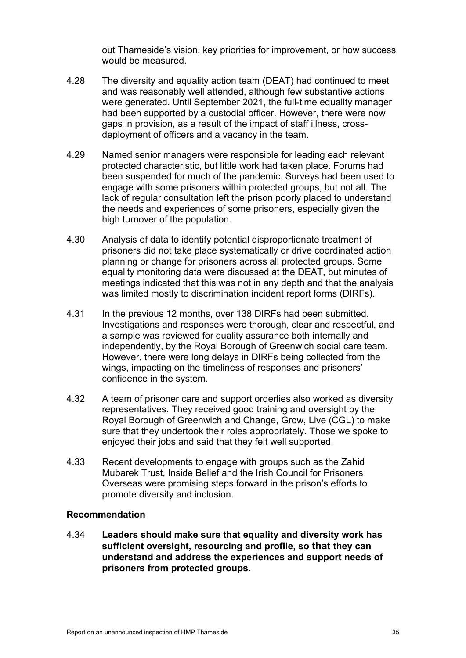out Thameside's vision, key priorities for improvement, or how success would be measured.

- 4.28 The diversity and equality action team (DEAT) had continued to meet and was reasonably well attended, although few substantive actions were generated. Until September 2021, the full-time equality manager had been supported by a custodial officer. However, there were now gaps in provision, as a result of the impact of staff illness, crossdeployment of officers and a vacancy in the team.
- 4.29 Named senior managers were responsible for leading each relevant protected characteristic, but little work had taken place. Forums had been suspended for much of the pandemic. Surveys had been used to engage with some prisoners within protected groups, but not all. The lack of regular consultation left the prison poorly placed to understand the needs and experiences of some prisoners, especially given the high turnover of the population.
- 4.30 Analysis of data to identify potential disproportionate treatment of prisoners did not take place systematically or drive coordinated action planning or change for prisoners across all protected groups. Some equality monitoring data were discussed at the DEAT, but minutes of meetings indicated that this was not in any depth and that the analysis was limited mostly to discrimination incident report forms (DIRFs).
- 4.31 In the previous 12 months, over 138 DIRFs had been submitted. Investigations and responses were thorough, clear and respectful, and a sample was reviewed for quality assurance both internally and independently, by the Royal Borough of Greenwich social care team. However, there were long delays in DIRFs being collected from the wings, impacting on the timeliness of responses and prisoners' confidence in the system.
- 4.32 A team of prisoner care and support orderlies also worked as diversity representatives. They received good training and oversight by the Royal Borough of Greenwich and Change, Grow, Live (CGL) to make sure that they undertook their roles appropriately. Those we spoke to enjoyed their jobs and said that they felt well supported.
- 4.33 Recent developments to engage with groups such as the Zahid Mubarek Trust, Inside Belief and the Irish Council for Prisoners Overseas were promising steps forward in the prison's efforts to promote diversity and inclusion.

#### **Recommendation**

4.34 **Leaders should make sure that equality and diversity work has sufficient oversight, resourcing and profile, so that they can understand and address the experiences and support needs of prisoners from protected groups.**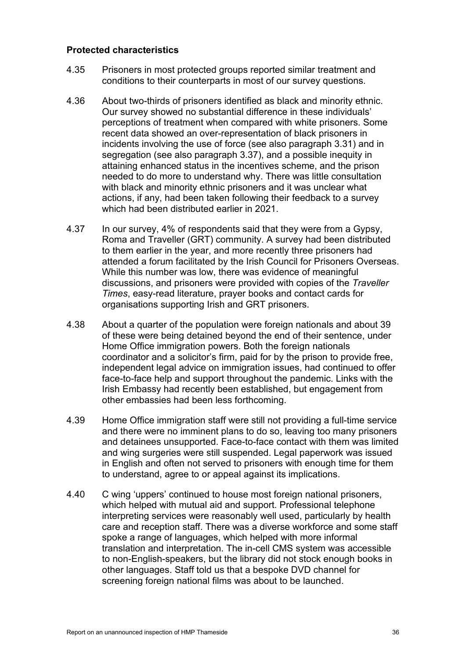## **Protected characteristics**

- 4.35 Prisoners in most protected groups reported similar treatment and conditions to their counterparts in most of our survey questions.
- <span id="page-35-0"></span>4.36 About two-thirds of prisoners identified as black and minority ethnic. Our survey showed no substantial difference in these individuals' perceptions of treatment when compared with white prisoners. Some recent data showed an over-representation of black prisoners in incidents involving the use of force (see also paragraph [3.31\)](#page-22-0) and in segregation (see also paragraph [3.37\)](#page-23-2), and a possible inequity in attaining enhanced status in the incentives scheme, and the prison needed to do more to understand why. There was little consultation with black and minority ethnic prisoners and it was unclear what actions, if any, had been taken following their feedback to a survey which had been distributed earlier in 2021.
- 4.37 In our survey, 4% of respondents said that they were from a Gypsy, Roma and Traveller (GRT) community. A survey had been distributed to them earlier in the year, and more recently three prisoners had attended a forum facilitated by the Irish Council for Prisoners Overseas. While this number was low, there was evidence of meaningful discussions, and prisoners were provided with copies of the *Traveller Times*, easy-read literature, prayer books and contact cards for organisations supporting Irish and GRT prisoners.
- 4.38 About a quarter of the population were foreign nationals and about 39 of these were being detained beyond the end of their sentence, under Home Office immigration powers. Both the foreign nationals coordinator and a solicitor's firm, paid for by the prison to provide free, independent legal advice on immigration issues, had continued to offer face-to-face help and support throughout the pandemic. Links with the Irish Embassy had recently been established, but engagement from other embassies had been less forthcoming.
- 4.39 Home Office immigration staff were still not providing a full-time service and there were no imminent plans to do so, leaving too many prisoners and detainees unsupported. Face-to-face contact with them was limited and wing surgeries were still suspended. Legal paperwork was issued in English and often not served to prisoners with enough time for them to understand, agree to or appeal against its implications.
- 4.40 C wing 'uppers' continued to house most foreign national prisoners, which helped with mutual aid and support. Professional telephone interpreting services were reasonably well used, particularly by health care and reception staff. There was a diverse workforce and some staff spoke a range of languages, which helped with more informal translation and interpretation. The in-cell CMS system was accessible to non-English-speakers, but the library did not stock enough books in other languages. Staff told us that a bespoke DVD channel for screening foreign national films was about to be launched.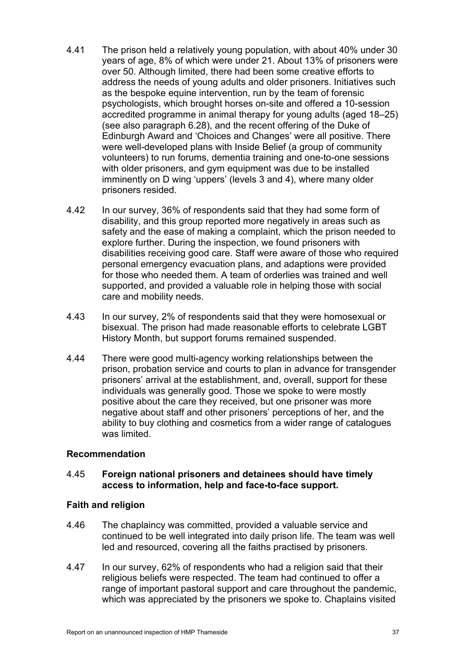- <span id="page-36-0"></span>4.41 The prison held a relatively young population, with about 40% under 30 years of age, 8% of which were under 21. About 13% of prisoners were over 50. Although limited, there had been some creative efforts to address the needs of young adults and older prisoners. Initiatives such as the bespoke equine intervention, run by the team of forensic psychologists, which brought horses on-site and offered a 10-session accredited programme in animal therapy for young adults (aged 18–25) (see also paragraph [6.28\)](#page-57-0), and the recent offering of the Duke of Edinburgh Award and 'Choices and Changes' were all positive. There were well-developed plans with Inside Belief (a group of community volunteers) to run forums, dementia training and one-to-one sessions with older prisoners, and gym equipment was due to be installed imminently on D wing 'uppers' (levels 3 and 4), where many older prisoners resided.
- 4.42 In our survey, 36% of respondents said that they had some form of disability, and this group reported more negatively in areas such as safety and the ease of making a complaint, which the prison needed to explore further. During the inspection, we found prisoners with disabilities receiving good care. Staff were aware of those who required personal emergency evacuation plans, and adaptions were provided for those who needed them. A team of orderlies was trained and well supported, and provided a valuable role in helping those with social care and mobility needs.
- 4.43 In our survey, 2% of respondents said that they were homosexual or bisexual. The prison had made reasonable efforts to celebrate LGBT History Month, but support forums remained suspended.
- 4.44 There were good multi-agency working relationships between the prison, probation service and courts to plan in advance for transgender prisoners' arrival at the establishment, and, overall, support for these individuals was generally good. Those we spoke to were mostly positive about the care they received, but one prisoner was more negative about staff and other prisoners' perceptions of her, and the ability to buy clothing and cosmetics from a wider range of catalogues was limited.

#### **Recommendation**

#### <span id="page-36-1"></span>4.45 **Foreign national prisoners and detainees should have timely access to information, help and face-to-face support.**

#### **Faith and religion**

- 4.46 The chaplaincy was committed, provided a valuable service and continued to be well integrated into daily prison life. The team was well led and resourced, covering all the faiths practised by prisoners.
- 4.47 In our survey, 62% of respondents who had a religion said that their religious beliefs were respected. The team had continued to offer a range of important pastoral support and care throughout the pandemic, which was appreciated by the prisoners we spoke to. Chaplains visited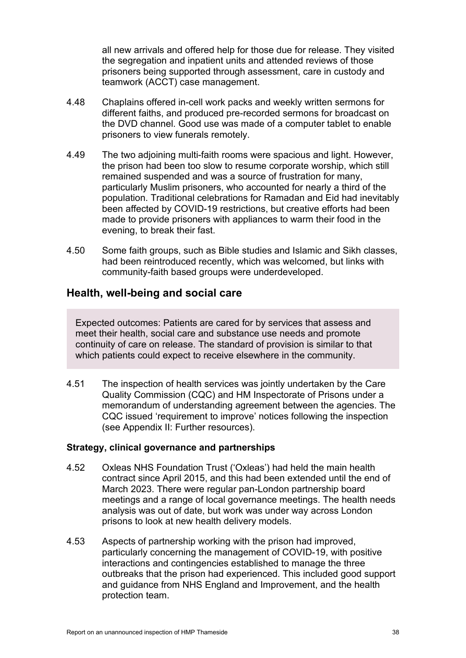all new arrivals and offered help for those due for release. They visited the segregation and inpatient units and attended reviews of those prisoners being supported through assessment, care in custody and teamwork (ACCT) case management.

- 4.48 Chaplains offered in-cell work packs and weekly written sermons for different faiths, and produced pre-recorded sermons for broadcast on the DVD channel. Good use was made of a computer tablet to enable prisoners to view funerals remotely.
- 4.49 The two adjoining multi-faith rooms were spacious and light. However, the prison had been too slow to resume corporate worship, which still remained suspended and was a source of frustration for many, particularly Muslim prisoners, who accounted for nearly a third of the population. Traditional celebrations for Ramadan and Eid had inevitably been affected by COVID-19 restrictions, but creative efforts had been made to provide prisoners with appliances to warm their food in the evening, to break their fast.
- 4.50 Some faith groups, such as Bible studies and Islamic and Sikh classes, had been reintroduced recently, which was welcomed, but links with community-faith based groups were underdeveloped.

# **Health, well-being and social care**

Expected outcomes: Patients are cared for by services that assess and meet their health, social care and substance use needs and promote continuity of care on release. The standard of provision is similar to that which patients could expect to receive elsewhere in the community.

4.51 The inspection of health services was jointly undertaken by the Care Quality Commission (CQC) and HM Inspectorate of Prisons under a memorandum of understanding agreement between the agencies. The CQC issued 'requirement to improve' notices following the inspection (see Appendix II: Further resources).

#### **Strategy, clinical governance and partnerships**

- 4.52 Oxleas NHS Foundation Trust ('Oxleas') had held the main health contract since April 2015, and this had been extended until the end of March 2023. There were regular pan-London partnership board meetings and a range of local governance meetings. The health needs analysis was out of date, but work was under way across London prisons to look at new health delivery models.
- 4.53 Aspects of partnership working with the prison had improved, particularly concerning the management of COVID-19, with positive interactions and contingencies established to manage the three outbreaks that the prison had experienced. This included good support and guidance from NHS England and Improvement, and the health protection team.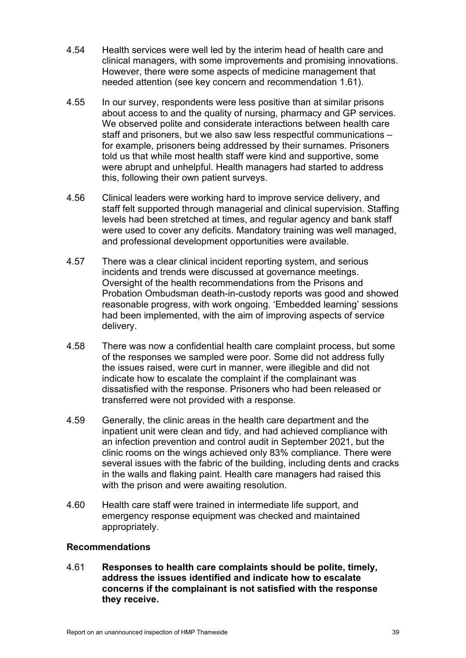- 4.54 Health services were well led by the interim head of health care and clinical managers, with some improvements and promising innovations. However, there were some aspects of medicine management that needed attention (see key concern and recommendation [1.61\)](#page-13-0).
- 4.55 In our survey, respondents were less positive than at similar prisons about access to and the quality of nursing, pharmacy and GP services. We observed polite and considerate interactions between health care staff and prisoners, but we also saw less respectful communications – for example, prisoners being addressed by their surnames. Prisoners told us that while most health staff were kind and supportive, some were abrupt and unhelpful. Health managers had started to address this, following their own patient surveys.
- 4.56 Clinical leaders were working hard to improve service delivery, and staff felt supported through managerial and clinical supervision. Staffing levels had been stretched at times, and regular agency and bank staff were used to cover any deficits. Mandatory training was well managed, and professional development opportunities were available.
- 4.57 There was a clear clinical incident reporting system, and serious incidents and trends were discussed at governance meetings. Oversight of the health recommendations from the Prisons and Probation Ombudsman death-in-custody reports was good and showed reasonable progress, with work ongoing. 'Embedded learning' sessions had been implemented, with the aim of improving aspects of service delivery.
- 4.58 There was now a confidential health care complaint process, but some of the responses we sampled were poor. Some did not address fully the issues raised, were curt in manner, were illegible and did not indicate how to escalate the complaint if the complainant was dissatisfied with the response. Prisoners who had been released or transferred were not provided with a response.
- 4.59 Generally, the clinic areas in the health care department and the inpatient unit were clean and tidy, and had achieved compliance with an infection prevention and control audit in September 2021, but the clinic rooms on the wings achieved only 83% compliance. There were several issues with the fabric of the building, including dents and cracks in the walls and flaking paint. Health care managers had raised this with the prison and were awaiting resolution.
- 4.60 Health care staff were trained in intermediate life support, and emergency response equipment was checked and maintained appropriately.

#### **Recommendations**

<span id="page-38-0"></span>4.61 **Responses to health care complaints should be polite, timely, address the issues identified and indicate how to escalate concerns if the complainant is not satisfied with the response they receive.**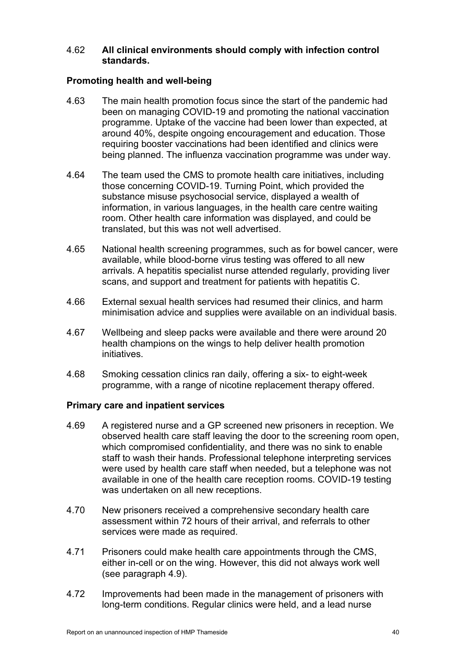#### <span id="page-39-0"></span>4.62 **All clinical environments should comply with infection control standards.**

#### **Promoting health and well-being**

- 4.63 The main health promotion focus since the start of the pandemic had been on managing COVID-19 and promoting the national vaccination programme. Uptake of the vaccine had been lower than expected, at around 40%, despite ongoing encouragement and education. Those requiring booster vaccinations had been identified and clinics were being planned. The influenza vaccination programme was under way.
- 4.64 The team used the CMS to promote health care initiatives, including those concerning COVID-19. Turning Point, which provided the substance misuse psychosocial service, displayed a wealth of information, in various languages, in the health care centre waiting room. Other health care information was displayed, and could be translated, but this was not well advertised.
- 4.65 National health screening programmes, such as for bowel cancer, were available, while blood-borne virus testing was offered to all new arrivals. A hepatitis specialist nurse attended regularly, providing liver scans, and support and treatment for patients with hepatitis C.
- 4.66 External sexual health services had resumed their clinics, and harm minimisation advice and supplies were available on an individual basis.
- 4.67 Wellbeing and sleep packs were available and there were around 20 health champions on the wings to help deliver health promotion initiatives.
- 4.68 Smoking cessation clinics ran daily, offering a six- to eight-week programme, with a range of nicotine replacement therapy offered.

#### **Primary care and inpatient services**

- 4.69 A registered nurse and a GP screened new prisoners in reception. We observed health care staff leaving the door to the screening room open, which compromised confidentiality, and there was no sink to enable staff to wash their hands. Professional telephone interpreting services were used by health care staff when needed, but a telephone was not available in one of the health care reception rooms. COVID-19 testing was undertaken on all new receptions.
- 4.70 New prisoners received a comprehensive secondary health care assessment within 72 hours of their arrival, and referrals to other services were made as required.
- 4.71 Prisoners could make health care appointments through the CMS, either in-cell or on the wing. However, this did not always work well (see paragraph [4.9\)](#page-29-0).
- 4.72 Improvements had been made in the management of prisoners with long-term conditions. Regular clinics were held, and a lead nurse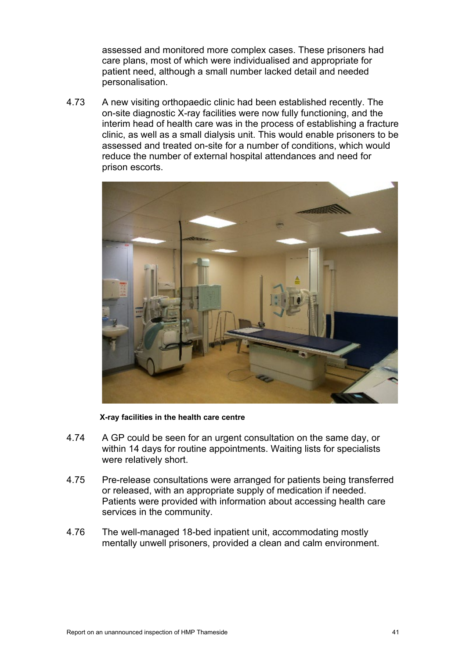assessed and monitored more complex cases. These prisoners had care plans, most of which were individualised and appropriate for patient need, although a small number lacked detail and needed personalisation.

4.73 A new visiting orthopaedic clinic had been established recently. The on-site diagnostic X-ray facilities were now fully functioning, and the interim head of health care was in the process of establishing a fracture clinic, as well as a small dialysis unit. This would enable prisoners to be assessed and treated on-site for a number of conditions, which would reduce the number of external hospital attendances and need for prison escorts.



**X-ray facilities in the health care centre** 

- 4.74 A GP could be seen for an urgent consultation on the same day, or within 14 days for routine appointments. Waiting lists for specialists were relatively short.
- 4.75 Pre-release consultations were arranged for patients being transferred or released, with an appropriate supply of medication if needed. Patients were provided with information about accessing health care services in the community.
- 4.76 The well-managed 18-bed inpatient unit, accommodating mostly mentally unwell prisoners, provided a clean and calm environment.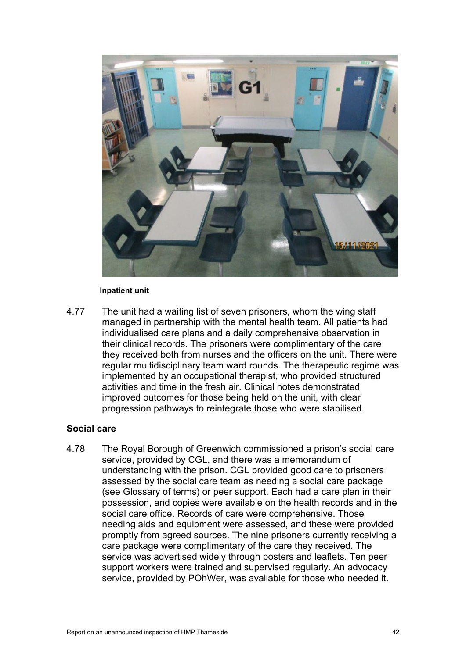

#### **Inpatient unit**

4.77 The unit had a waiting list of seven prisoners, whom the wing staff managed in partnership with the mental health team. All patients had individualised care plans and a daily comprehensive observation in their clinical records. The prisoners were complimentary of the care they received both from nurses and the officers on the unit. There were regular multidisciplinary team ward rounds. The therapeutic regime was implemented by an occupational therapist, who provided structured activities and time in the fresh air. Clinical notes demonstrated improved outcomes for those being held on the unit, with clear progression pathways to reintegrate those who were stabilised.

#### **Social care**

4.78 The Royal Borough of Greenwich commissioned a prison's social care service, provided by CGL, and there was a memorandum of understanding with the prison. CGL provided good care to prisoners assessed by the social care team as needing a social care package (see Glossary of terms) or peer support. Each had a care plan in their possession, and copies were available on the health records and in the social care office. Records of care were comprehensive. Those needing aids and equipment were assessed, and these were provided promptly from agreed sources. The nine prisoners currently receiving a care package were complimentary of the care they received. The service was advertised widely through posters and leaflets. Ten peer support workers were trained and supervised regularly. An advocacy service, provided by POhWer, was available for those who needed it.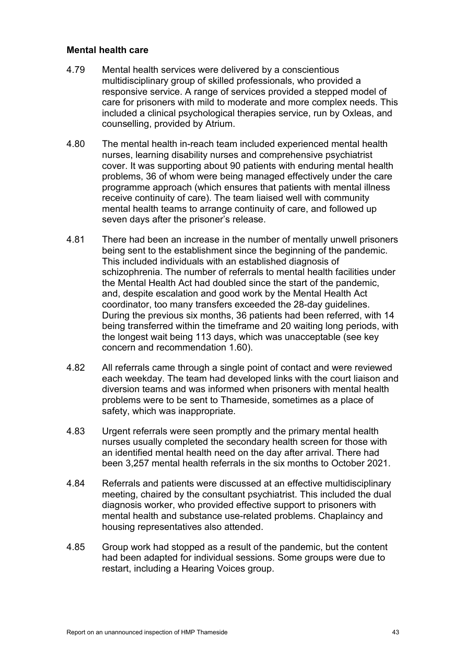#### **Mental health care**

- 4.79 Mental health services were delivered by a conscientious multidisciplinary group of skilled professionals, who provided a responsive service. A range of services provided a stepped model of care for prisoners with mild to moderate and more complex needs. This included a clinical psychological therapies service, run by Oxleas, and counselling, provided by Atrium.
- 4.80 The mental health in-reach team included experienced mental health nurses, learning disability nurses and comprehensive psychiatrist cover. It was supporting about 90 patients with enduring mental health problems, 36 of whom were being managed effectively under the care programme approach (which ensures that patients with mental illness receive continuity of care). The team liaised well with community mental health teams to arrange continuity of care, and followed up seven days after the prisoner's release.
- 4.81 There had been an increase in the number of mentally unwell prisoners being sent to the establishment since the beginning of the pandemic. This included individuals with an established diagnosis of schizophrenia. The number of referrals to mental health facilities under the Mental Health Act had doubled since the start of the pandemic, and, despite escalation and good work by the Mental Health Act coordinator, too many transfers exceeded the 28-day guidelines. During the previous six months, 36 patients had been referred, with 14 being transferred within the timeframe and 20 waiting long periods, with the longest wait being 113 days, which was unacceptable (see key concern and recommendation [1.60\)](#page-13-1).
- 4.82 All referrals came through a single point of contact and were reviewed each weekday. The team had developed links with the court liaison and diversion teams and was informed when prisoners with mental health problems were to be sent to Thameside, sometimes as a place of safety, which was inappropriate.
- 4.83 Urgent referrals were seen promptly and the primary mental health nurses usually completed the secondary health screen for those with an identified mental health need on the day after arrival. There had been 3,257 mental health referrals in the six months to October 2021.
- 4.84 Referrals and patients were discussed at an effective multidisciplinary meeting, chaired by the consultant psychiatrist. This included the dual diagnosis worker, who provided effective support to prisoners with mental health and substance use-related problems. Chaplaincy and housing representatives also attended.
- 4.85 Group work had stopped as a result of the pandemic, but the content had been adapted for individual sessions. Some groups were due to restart, including a Hearing Voices group.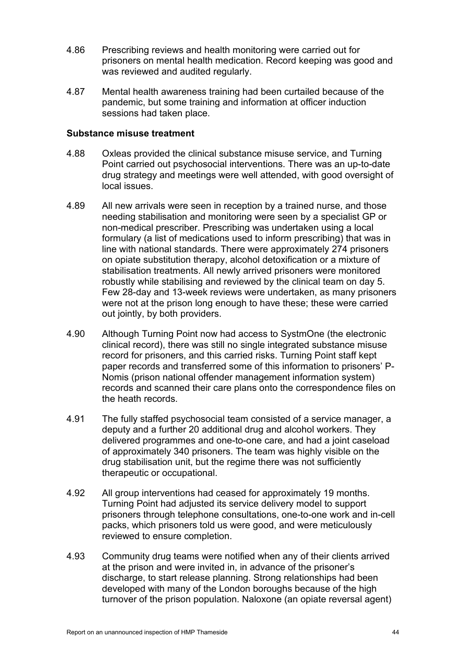- 4.86 Prescribing reviews and health monitoring were carried out for prisoners on mental health medication. Record keeping was good and was reviewed and audited regularly.
- 4.87 Mental health awareness training had been curtailed because of the pandemic, but some training and information at officer induction sessions had taken place.

#### **Substance misuse treatment**

- 4.88 Oxleas provided the clinical substance misuse service, and Turning Point carried out psychosocial interventions. There was an up-to-date drug strategy and meetings were well attended, with good oversight of local issues.
- 4.89 All new arrivals were seen in reception by a trained nurse, and those needing stabilisation and monitoring were seen by a specialist GP or non-medical prescriber. Prescribing was undertaken using a local formulary (a list of medications used to inform prescribing) that was in line with national standards. There were approximately 274 prisoners on opiate substitution therapy, alcohol detoxification or a mixture of stabilisation treatments. All newly arrived prisoners were monitored robustly while stabilising and reviewed by the clinical team on day 5. Few 28-day and 13-week reviews were undertaken, as many prisoners were not at the prison long enough to have these; these were carried out jointly, by both providers.
- 4.90 Although Turning Point now had access to SystmOne (the electronic clinical record), there was still no single integrated substance misuse record for prisoners, and this carried risks. Turning Point staff kept paper records and transferred some of this information to prisoners' P-Nomis (prison national offender management information system) records and scanned their care plans onto the correspondence files on the heath records.
- 4.91 The fully staffed psychosocial team consisted of a service manager, a deputy and a further 20 additional drug and alcohol workers. They delivered programmes and one-to-one care, and had a joint caseload of approximately 340 prisoners. The team was highly visible on the drug stabilisation unit, but the regime there was not sufficiently therapeutic or occupational.
- 4.92 All group interventions had ceased for approximately 19 months. Turning Point had adjusted its service delivery model to support prisoners through telephone consultations, one-to-one work and in-cell packs, which prisoners told us were good, and were meticulously reviewed to ensure completion.
- 4.93 Community drug teams were notified when any of their clients arrived at the prison and were invited in, in advance of the prisoner's discharge, to start release planning. Strong relationships had been developed with many of the London boroughs because of the high turnover of the prison population. Naloxone (an opiate reversal agent)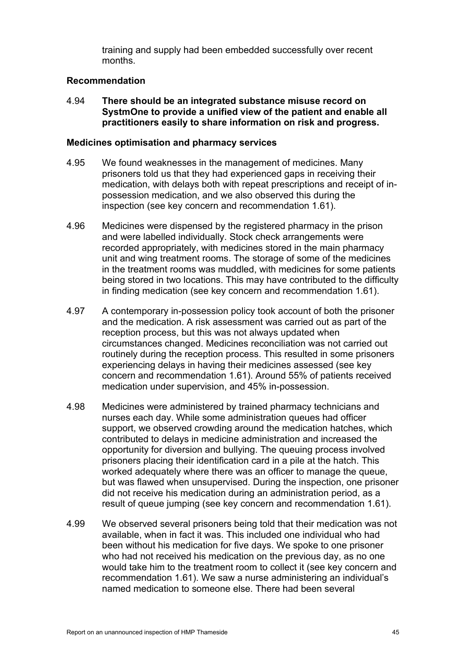training and supply had been embedded successfully over recent months.

#### **Recommendation**

<span id="page-44-0"></span>4.94 **There should be an integrated substance misuse record on SystmOne to provide a unified view of the patient and enable all practitioners easily to share information on risk and progress.**

#### **Medicines optimisation and pharmacy services**

- 4.95 We found weaknesses in the management of medicines. Many prisoners told us that they had experienced gaps in receiving their medication, with delays both with repeat prescriptions and receipt of inpossession medication, and we also observed this during the inspection (see key concern and recommendation [1.61\)](#page-13-0).
- 4.96 Medicines were dispensed by the registered pharmacy in the prison and were labelled individually. Stock check arrangements were recorded appropriately, with medicines stored in the main pharmacy unit and wing treatment rooms. The storage of some of the medicines in the treatment rooms was muddled, with medicines for some patients being stored in two locations. This may have contributed to the difficulty in finding medication (see key concern and recommendation [1.61\)](#page-13-0).
- 4.97 A contemporary in-possession policy took account of both the prisoner and the medication. A risk assessment was carried out as part of the reception process, but this was not always updated when circumstances changed. Medicines reconciliation was not carried out routinely during the reception process. This resulted in some prisoners experiencing delays in having their medicines assessed (see key concern and recommendation [1.61\)](#page-13-0). Around 55% of patients received medication under supervision, and 45% in-possession.
- 4.98 Medicines were administered by trained pharmacy technicians and nurses each day. While some administration queues had officer support, we observed crowding around the medication hatches, which contributed to delays in medicine administration and increased the opportunity for diversion and bullying. The queuing process involved prisoners placing their identification card in a pile at the hatch. This worked adequately where there was an officer to manage the queue, but was flawed when unsupervised. During the inspection, one prisoner did not receive his medication during an administration period, as a result of queue jumping (see key concern and recommendation [1.61\)](#page-13-0).
- 4.99 We observed several prisoners being told that their medication was not available, when in fact it was. This included one individual who had been without his medication for five days. We spoke to one prisoner who had not received his medication on the previous day, as no one would take him to the treatment room to collect it (see key concern and recommendation [1.61\)](#page-13-0). We saw a nurse administering an individual's named medication to someone else. There had been several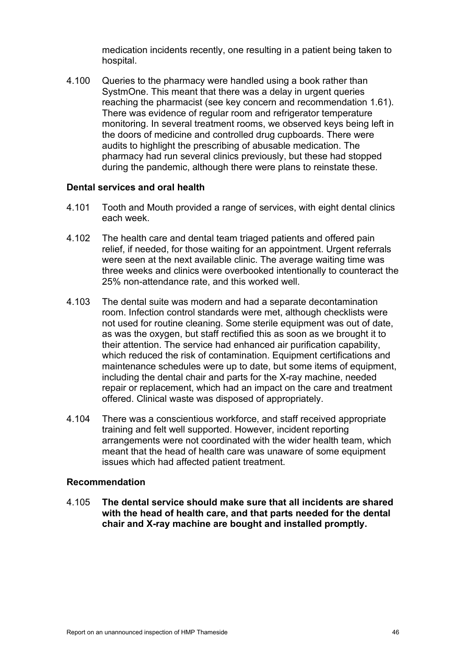medication incidents recently, one resulting in a patient being taken to hospital.

4.100 Queries to the pharmacy were handled using a book rather than SystmOne. This meant that there was a delay in urgent queries reaching the pharmacist (see key concern and recommendation [1.61\)](#page-13-0). There was evidence of regular room and refrigerator temperature monitoring. In several treatment rooms, we observed keys being left in the doors of medicine and controlled drug cupboards. There were audits to highlight the prescribing of abusable medication. The pharmacy had run several clinics previously, but these had stopped during the pandemic, although there were plans to reinstate these.

#### **Dental services and oral health**

- 4.101 Tooth and Mouth provided a range of services, with eight dental clinics each week.
- 4.102 The health care and dental team triaged patients and offered pain relief, if needed, for those waiting for an appointment. Urgent referrals were seen at the next available clinic. The average waiting time was three weeks and clinics were overbooked intentionally to counteract the 25% non-attendance rate, and this worked well.
- 4.103 The dental suite was modern and had a separate decontamination room. Infection control standards were met, although checklists were not used for routine cleaning. Some sterile equipment was out of date, as was the oxygen, but staff rectified this as soon as we brought it to their attention. The service had enhanced air purification capability, which reduced the risk of contamination. Equipment certifications and maintenance schedules were up to date, but some items of equipment, including the dental chair and parts for the X-ray machine, needed repair or replacement, which had an impact on the care and treatment offered. Clinical waste was disposed of appropriately.
- 4.104 There was a conscientious workforce, and staff received appropriate training and felt well supported. However, incident reporting arrangements were not coordinated with the wider health team, which meant that the head of health care was unaware of some equipment issues which had affected patient treatment.

#### **Recommendation**

<span id="page-45-0"></span>4.105 **The dental service should make sure that all incidents are shared with the head of health care, and that parts needed for the dental chair and X-ray machine are bought and installed promptly.**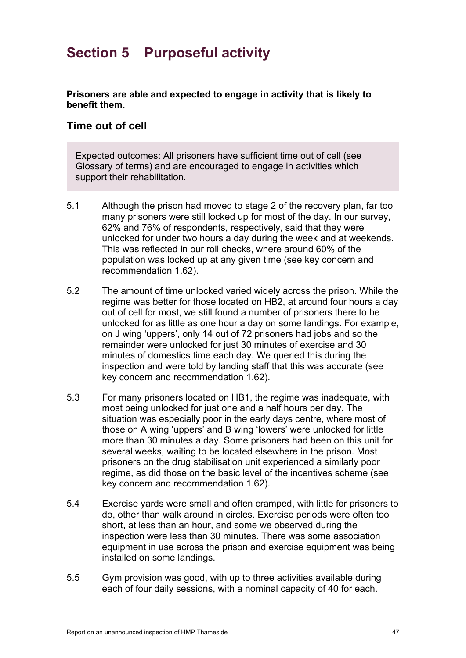# **Section 5 Purposeful activity**

**Prisoners are able and expected to engage in activity that is likely to benefit them.**

# **Time out of cell**

Expected outcomes: All prisoners have sufficient time out of cell (see Glossary of terms) and are encouraged to engage in activities which support their rehabilitation.

- 5.1 Although the prison had moved to stage 2 of the recovery plan, far too many prisoners were still locked up for most of the day. In our survey, 62% and 76% of respondents, respectively, said that they were unlocked for under two hours a day during the week and at weekends. This was reflected in our roll checks, where around 60% of the population was locked up at any given time (see key concern and recommendation [1.62\)](#page-14-0).
- 5.2 The amount of time unlocked varied widely across the prison. While the regime was better for those located on HB2, at around four hours a day out of cell for most, we still found a number of prisoners there to be unlocked for as little as one hour a day on some landings. For example, on J wing 'uppers', only 14 out of 72 prisoners had jobs and so the remainder were unlocked for just 30 minutes of exercise and 30 minutes of domestics time each day. We queried this during the inspection and were told by landing staff that this was accurate (see key concern and recommendation 1.62).
- 5.3 For many prisoners located on HB1, the regime was inadequate, with most being unlocked for just one and a half hours per day. The situation was especially poor in the early days centre, where most of those on A wing 'uppers' and B wing 'lowers' were unlocked for little more than 30 minutes a day. Some prisoners had been on this unit for several weeks, waiting to be located elsewhere in the prison. Most prisoners on the drug stabilisation unit experienced a similarly poor regime, as did those on the basic level of the incentives scheme (see key concern and recommendation 1.62).
- 5.4 Exercise yards were small and often cramped, with little for prisoners to do, other than walk around in circles. Exercise periods were often too short, at less than an hour, and some we observed during the inspection were less than 30 minutes. There was some association equipment in use across the prison and exercise equipment was being installed on some landings.
- 5.5 Gym provision was good, with up to three activities available during each of four daily sessions, with a nominal capacity of 40 for each.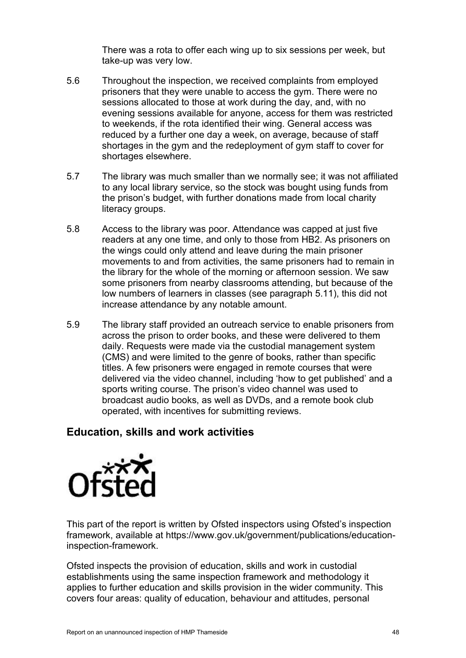There was a rota to offer each wing up to six sessions per week, but take-up was very low.

- 5.6 Throughout the inspection, we received complaints from employed prisoners that they were unable to access the gym. There were no sessions allocated to those at work during the day, and, with no evening sessions available for anyone, access for them was restricted to weekends, if the rota identified their wing. General access was reduced by a further one day a week, on average, because of staff shortages in the gym and the redeployment of gym staff to cover for shortages elsewhere.
- 5.7 The library was much smaller than we normally see; it was not affiliated to any local library service, so the stock was bought using funds from the prison's budget, with further donations made from local charity literacy groups.
- 5.8 Access to the library was poor. Attendance was capped at just five readers at any one time, and only to those from HB2. As prisoners on the wings could only attend and leave during the main prisoner movements to and from activities, the same prisoners had to remain in the library for the whole of the morning or afternoon session. We saw some prisoners from nearby classrooms attending, but because of the low numbers of learners in classes (see paragraph [5.11\)](#page-48-0), this did not increase attendance by any notable amount.
- 5.9 The library staff provided an outreach service to enable prisoners from across the prison to order books, and these were delivered to them daily. Requests were made via the custodial management system (CMS) and were limited to the genre of books, rather than specific titles. A few prisoners were engaged in remote courses that were delivered via the video channel, including 'how to get published' and a sports writing course. The prison's video channel was used to broadcast audio books, as well as DVDs, and a remote book club operated, with incentives for submitting reviews.

# **Education, skills and work activities**



This part of the report is written by Ofsted inspectors using Ofsted's inspection framework, available at https://www.gov.uk/government/publications/educationinspection-framework.

Ofsted inspects the provision of education, skills and work in custodial establishments using the same inspection framework and methodology it applies to further education and skills provision in the wider community. This covers four areas: quality of education, behaviour and attitudes, personal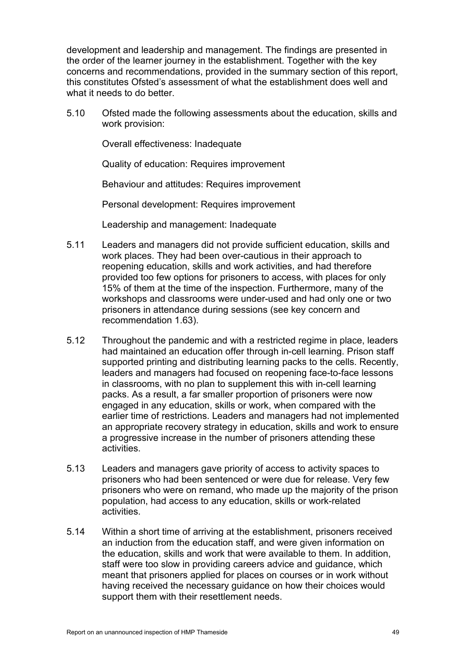development and leadership and management. The findings are presented in the order of the learner journey in the establishment. Together with the key concerns and recommendations, provided in the summary section of this report, this constitutes Ofsted's assessment of what the establishment does well and what it needs to do better.

5.10 Ofsted made the following assessments about the education, skills and work provision:

Overall effectiveness: Inadequate

Quality of education: Requires improvement

Behaviour and attitudes: Requires improvement

Personal development: Requires improvement

Leadership and management: Inadequate

- <span id="page-48-0"></span>5.11 Leaders and managers did not provide sufficient education, skills and work places. They had been over-cautious in their approach to reopening education, skills and work activities, and had therefore provided too few options for prisoners to access, with places for only 15% of them at the time of the inspection. Furthermore, many of the workshops and classrooms were under-used and had only one or two prisoners in attendance during sessions (see key concern and recommendation [1.63\)](#page-14-1).
- 5.12 Throughout the pandemic and with a restricted regime in place, leaders had maintained an education offer through in-cell learning. Prison staff supported printing and distributing learning packs to the cells. Recently, leaders and managers had focused on reopening face-to-face lessons in classrooms, with no plan to supplement this with in-cell learning packs. As a result, a far smaller proportion of prisoners were now engaged in any education, skills or work, when compared with the earlier time of restrictions. Leaders and managers had not implemented an appropriate recovery strategy in education, skills and work to ensure a progressive increase in the number of prisoners attending these activities.
- 5.13 Leaders and managers gave priority of access to activity spaces to prisoners who had been sentenced or were due for release. Very few prisoners who were on remand, who made up the majority of the prison population, had access to any education, skills or work-related activities.
- 5.14 Within a short time of arriving at the establishment, prisoners received an induction from the education staff, and were given information on the education, skills and work that were available to them. In addition, staff were too slow in providing careers advice and guidance, which meant that prisoners applied for places on courses or in work without having received the necessary guidance on how their choices would support them with their resettlement needs.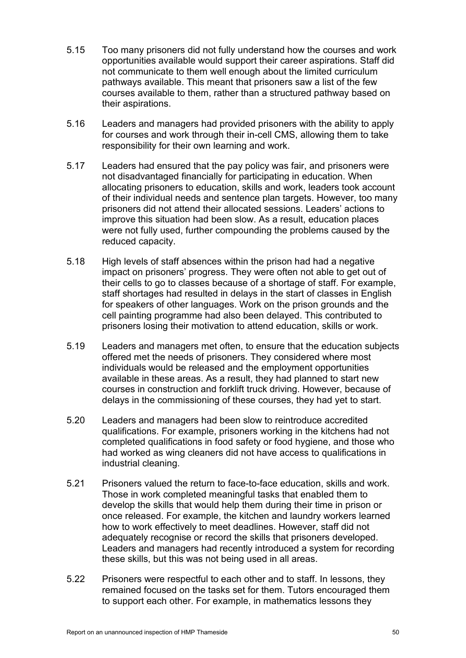- 5.15 Too many prisoners did not fully understand how the courses and work opportunities available would support their career aspirations. Staff did not communicate to them well enough about the limited curriculum pathways available. This meant that prisoners saw a list of the few courses available to them, rather than a structured pathway based on their aspirations.
- 5.16 Leaders and managers had provided prisoners with the ability to apply for courses and work through their in-cell CMS, allowing them to take responsibility for their own learning and work.
- 5.17 Leaders had ensured that the pay policy was fair, and prisoners were not disadvantaged financially for participating in education. When allocating prisoners to education, skills and work, leaders took account of their individual needs and sentence plan targets. However, too many prisoners did not attend their allocated sessions. Leaders' actions to improve this situation had been slow. As a result, education places were not fully used, further compounding the problems caused by the reduced capacity.
- 5.18 High levels of staff absences within the prison had had a negative impact on prisoners' progress. They were often not able to get out of their cells to go to classes because of a shortage of staff. For example, staff shortages had resulted in delays in the start of classes in English for speakers of other languages. Work on the prison grounds and the cell painting programme had also been delayed. This contributed to prisoners losing their motivation to attend education, skills or work.
- 5.19 Leaders and managers met often, to ensure that the education subjects offered met the needs of prisoners. They considered where most individuals would be released and the employment opportunities available in these areas. As a result, they had planned to start new courses in construction and forklift truck driving. However, because of delays in the commissioning of these courses, they had yet to start.
- 5.20 Leaders and managers had been slow to reintroduce accredited qualifications. For example, prisoners working in the kitchens had not completed qualifications in food safety or food hygiene, and those who had worked as wing cleaners did not have access to qualifications in industrial cleaning.
- 5.21 Prisoners valued the return to face-to-face education, skills and work. Those in work completed meaningful tasks that enabled them to develop the skills that would help them during their time in prison or once released. For example, the kitchen and laundry workers learned how to work effectively to meet deadlines. However, staff did not adequately recognise or record the skills that prisoners developed. Leaders and managers had recently introduced a system for recording these skills, but this was not being used in all areas.
- 5.22 Prisoners were respectful to each other and to staff. In lessons, they remained focused on the tasks set for them. Tutors encouraged them to support each other. For example, in mathematics lessons they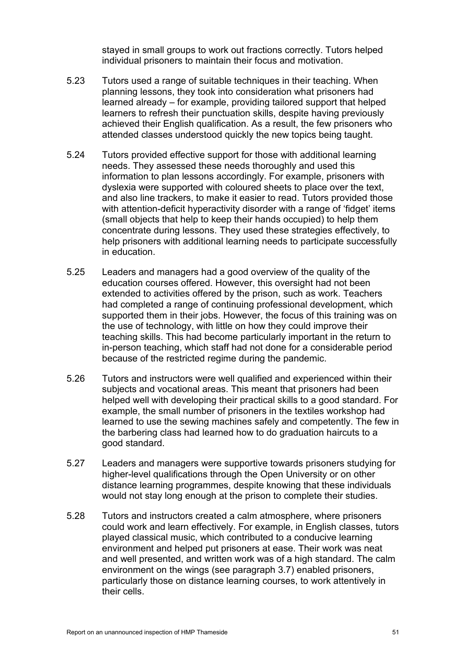stayed in small groups to work out fractions correctly. Tutors helped individual prisoners to maintain their focus and motivation.

- 5.23 Tutors used a range of suitable techniques in their teaching. When planning lessons, they took into consideration what prisoners had learned already – for example, providing tailored support that helped learners to refresh their punctuation skills, despite having previously achieved their English qualification. As a result, the few prisoners who attended classes understood quickly the new topics being taught.
- 5.24 Tutors provided effective support for those with additional learning needs. They assessed these needs thoroughly and used this information to plan lessons accordingly. For example, prisoners with dyslexia were supported with coloured sheets to place over the text, and also line trackers, to make it easier to read. Tutors provided those with attention-deficit hyperactivity disorder with a range of 'fidget' items (small objects that help to keep their hands occupied) to help them concentrate during lessons. They used these strategies effectively, to help prisoners with additional learning needs to participate successfully in education.
- 5.25 Leaders and managers had a good overview of the quality of the education courses offered. However, this oversight had not been extended to activities offered by the prison, such as work. Teachers had completed a range of continuing professional development, which supported them in their jobs. However, the focus of this training was on the use of technology, with little on how they could improve their teaching skills. This had become particularly important in the return to in-person teaching, which staff had not done for a considerable period because of the restricted regime during the pandemic.
- 5.26 Tutors and instructors were well qualified and experienced within their subjects and vocational areas. This meant that prisoners had been helped well with developing their practical skills to a good standard. For example, the small number of prisoners in the textiles workshop had learned to use the sewing machines safely and competently. The few in the barbering class had learned how to do graduation haircuts to a good standard.
- 5.27 Leaders and managers were supportive towards prisoners studying for higher-level qualifications through the Open University or on other distance learning programmes, despite knowing that these individuals would not stay long enough at the prison to complete their studies.
- 5.28 Tutors and instructors created a calm atmosphere, where prisoners could work and learn effectively. For example, in English classes, tutors played classical music, which contributed to a conducive learning environment and helped put prisoners at ease. Their work was neat and well presented, and written work was of a high standard. The calm environment on the wings (see paragraph [3.7\)](#page-19-0) enabled prisoners, particularly those on distance learning courses, to work attentively in their cells.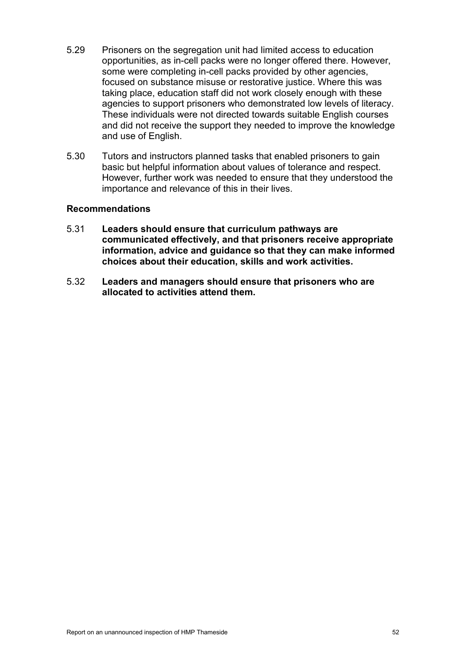- 5.29 Prisoners on the segregation unit had limited access to education opportunities, as in-cell packs were no longer offered there. However, some were completing in-cell packs provided by other agencies, focused on substance misuse or restorative justice. Where this was taking place, education staff did not work closely enough with these agencies to support prisoners who demonstrated low levels of literacy. These individuals were not directed towards suitable English courses and did not receive the support they needed to improve the knowledge and use of English.
- 5.30 Tutors and instructors planned tasks that enabled prisoners to gain basic but helpful information about values of tolerance and respect. However, further work was needed to ensure that they understood the importance and relevance of this in their lives.

#### **Recommendations**

- <span id="page-51-0"></span>5.31 **Leaders should ensure that curriculum pathways are communicated effectively, and that prisoners receive appropriate information, advice and guidance so that they can make informed choices about their education, skills and work activities.**
- <span id="page-51-1"></span>5.32 **Leaders and managers should ensure that prisoners who are allocated to activities attend them.**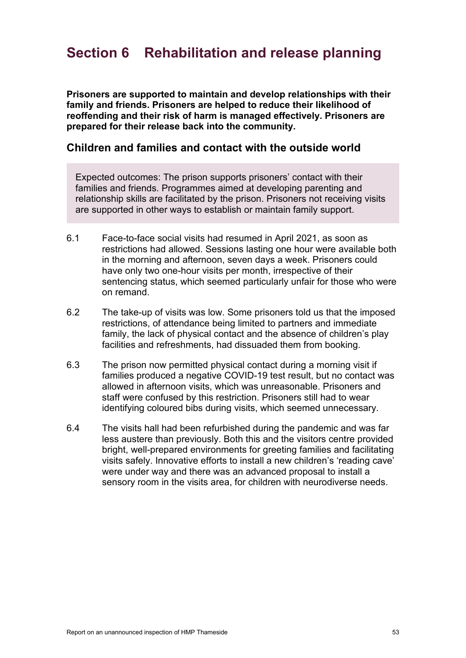# **Section 6 Rehabilitation and release planning**

**Prisoners are supported to maintain and develop relationships with their family and friends. Prisoners are helped to reduce their likelihood of reoffending and their risk of harm is managed effectively. Prisoners are prepared for their release back into the community.**

# **Children and families and contact with the outside world**

Expected outcomes: The prison supports prisoners' contact with their families and friends. Programmes aimed at developing parenting and relationship skills are facilitated by the prison. Prisoners not receiving visits are supported in other ways to establish or maintain family support.

- 6.1 Face-to-face social visits had resumed in April 2021, as soon as restrictions had allowed. Sessions lasting one hour were available both in the morning and afternoon, seven days a week. Prisoners could have only two one-hour visits per month, irrespective of their sentencing status, which seemed particularly unfair for those who were on remand.
- 6.2 The take-up of visits was low. Some prisoners told us that the imposed restrictions, of attendance being limited to partners and immediate family, the lack of physical contact and the absence of children's play facilities and refreshments, had dissuaded them from booking.
- 6.3 The prison now permitted physical contact during a morning visit if families produced a negative COVID-19 test result, but no contact was allowed in afternoon visits, which was unreasonable. Prisoners and staff were confused by this restriction. Prisoners still had to wear identifying coloured bibs during visits, which seemed unnecessary.
- 6.4 The visits hall had been refurbished during the pandemic and was far less austere than previously. Both this and the visitors centre provided bright, well-prepared environments for greeting families and facilitating visits safely. Innovative efforts to install a new children's 'reading cave' were under way and there was an advanced proposal to install a sensory room in the visits area, for children with neurodiverse needs.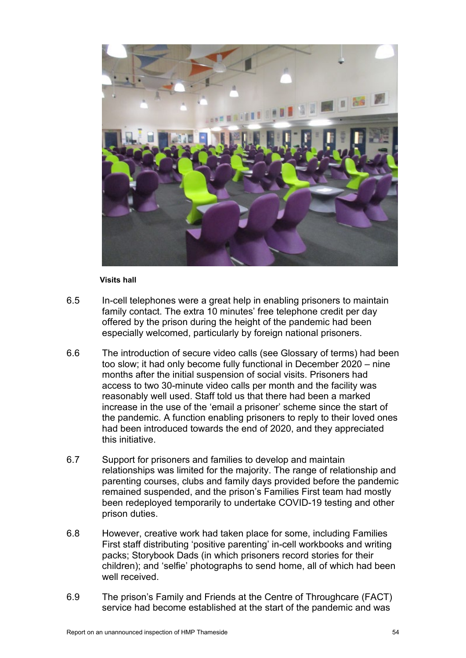

#### **Visits hall**

- 6.5 In-cell telephones were a great help in enabling prisoners to maintain family contact. The extra 10 minutes' free telephone credit per day offered by the prison during the height of the pandemic had been especially welcomed, particularly by foreign national prisoners.
- 6.6 The introduction of secure video calls (see Glossary of terms) had been too slow; it had only become fully functional in December 2020 – nine months after the initial suspension of social visits. Prisoners had access to two 30-minute video calls per month and the facility was reasonably well used. Staff told us that there had been a marked increase in the use of the 'email a prisoner' scheme since the start of the pandemic. A function enabling prisoners to reply to their loved ones had been introduced towards the end of 2020, and they appreciated this initiative.
- 6.7 Support for prisoners and families to develop and maintain relationships was limited for the majority. The range of relationship and parenting courses, clubs and family days provided before the pandemic remained suspended, and the prison's Families First team had mostly been redeployed temporarily to undertake COVID-19 testing and other prison duties.
- 6.8 However, creative work had taken place for some, including Families First staff distributing 'positive parenting' in-cell workbooks and writing packs; Storybook Dads (in which prisoners record stories for their children); and 'selfie' photographs to send home, all of which had been well received.
- 6.9 The prison's Family and Friends at the Centre of Throughcare (FACT) service had become established at the start of the pandemic and was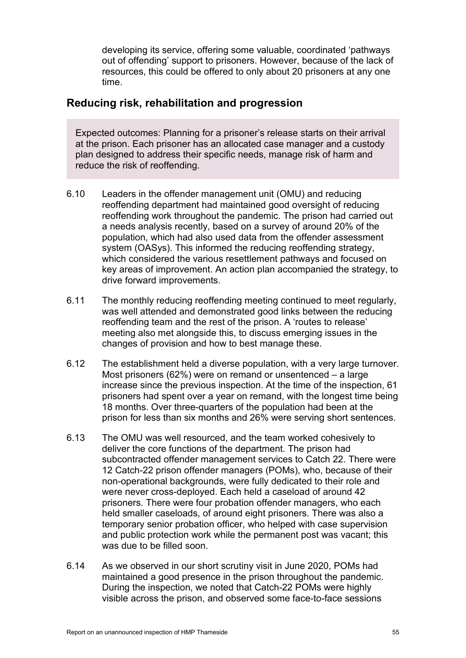developing its service, offering some valuable, coordinated 'pathways out of offending' support to prisoners. However, because of the lack of resources, this could be offered to only about 20 prisoners at any one time.

# **Reducing risk, rehabilitation and progression**

Expected outcomes: Planning for a prisoner's release starts on their arrival at the prison. Each prisoner has an allocated case manager and a custody plan designed to address their specific needs, manage risk of harm and reduce the risk of reoffending.

- 6.10 Leaders in the offender management unit (OMU) and reducing reoffending department had maintained good oversight of reducing reoffending work throughout the pandemic. The prison had carried out a needs analysis recently, based on a survey of around 20% of the population, which had also used data from the offender assessment system (OASys). This informed the reducing reoffending strategy, which considered the various resettlement pathways and focused on key areas of improvement. An action plan accompanied the strategy, to drive forward improvements.
- 6.11 The monthly reducing reoffending meeting continued to meet regularly, was well attended and demonstrated good links between the reducing reoffending team and the rest of the prison. A 'routes to release' meeting also met alongside this, to discuss emerging issues in the changes of provision and how to best manage these.
- 6.12 The establishment held a diverse population, with a very large turnover. Most prisoners (62%) were on remand or unsentenced – a large increase since the previous inspection. At the time of the inspection, 61 prisoners had spent over a year on remand, with the longest time being 18 months. Over three-quarters of the population had been at the prison for less than six months and 26% were serving short sentences.
- 6.13 The OMU was well resourced, and the team worked cohesively to deliver the core functions of the department. The prison had subcontracted offender management services to Catch 22. There were 12 Catch-22 prison offender managers (POMs), who, because of their non-operational backgrounds, were fully dedicated to their role and were never cross-deployed. Each held a caseload of around 42 prisoners. There were four probation offender managers, who each held smaller caseloads, of around eight prisoners. There was also a temporary senior probation officer, who helped with case supervision and public protection work while the permanent post was vacant; this was due to be filled soon.
- 6.14 As we observed in our short scrutiny visit in June 2020, POMs had maintained a good presence in the prison throughout the pandemic. During the inspection, we noted that Catch-22 POMs were highly visible across the prison, and observed some face-to-face sessions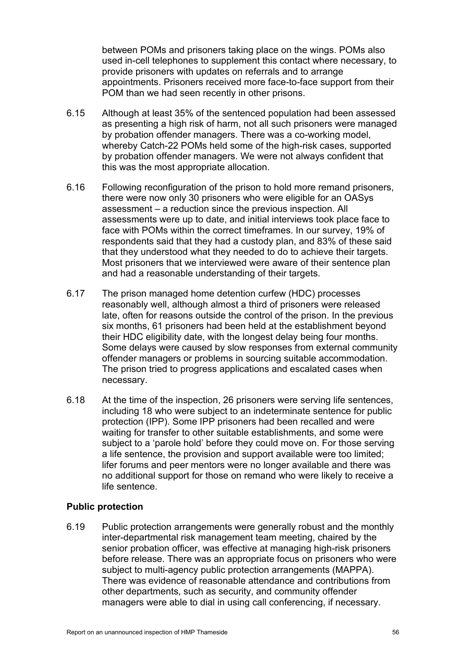between POMs and prisoners taking place on the wings. POMs also used in-cell telephones to supplement this contact where necessary, to provide prisoners with updates on referrals and to arrange appointments. Prisoners received more face-to-face support from their POM than we had seen recently in other prisons.

- 6.15 Although at least 35% of the sentenced population had been assessed as presenting a high risk of harm, not all such prisoners were managed by probation offender managers. There was a co-working model, whereby Catch-22 POMs held some of the high-risk cases, supported by probation offender managers. We were not always confident that this was the most appropriate allocation.
- 6.16 Following reconfiguration of the prison to hold more remand prisoners, there were now only 30 prisoners who were eligible for an OASys assessment – a reduction since the previous inspection. All assessments were up to date, and initial interviews took place face to face with POMs within the correct timeframes. In our survey, 19% of respondents said that they had a custody plan, and 83% of these said that they understood what they needed to do to achieve their targets. Most prisoners that we interviewed were aware of their sentence plan and had a reasonable understanding of their targets.
- 6.17 The prison managed home detention curfew (HDC) processes reasonably well, although almost a third of prisoners were released late, often for reasons outside the control of the prison. In the previous six months, 61 prisoners had been held at the establishment beyond their HDC eligibility date, with the longest delay being four months. Some delays were caused by slow responses from external community offender managers or problems in sourcing suitable accommodation. The prison tried to progress applications and escalated cases when necessary.
- 6.18 At the time of the inspection, 26 prisoners were serving life sentences, including 18 who were subject to an indeterminate sentence for public protection (IPP). Some IPP prisoners had been recalled and were waiting for transfer to other suitable establishments, and some were subject to a 'parole hold' before they could move on. For those serving a life sentence, the provision and support available were too limited; lifer forums and peer mentors were no longer available and there was no additional support for those on remand who were likely to receive a life sentence.

#### **Public protection**

6.19 Public protection arrangements were generally robust and the monthly inter-departmental risk management team meeting, chaired by the senior probation officer, was effective at managing high-risk prisoners before release. There was an appropriate focus on prisoners who were subject to multi-agency public protection arrangements (MAPPA). There was evidence of reasonable attendance and contributions from other departments, such as security, and community offender managers were able to dial in using call conferencing, if necessary.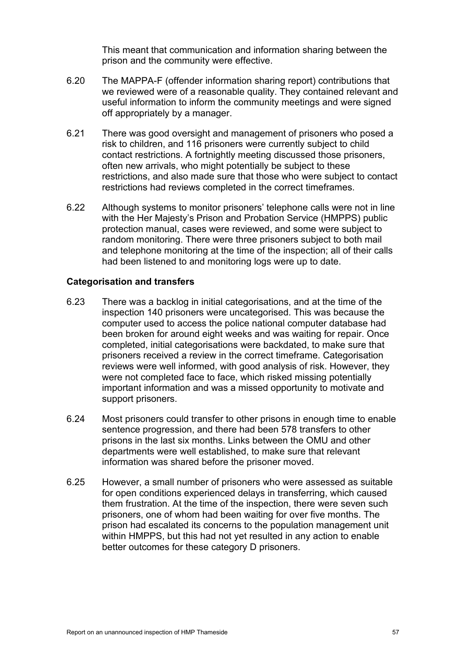This meant that communication and information sharing between the prison and the community were effective.

- 6.20 The MAPPA-F (offender information sharing report) contributions that we reviewed were of a reasonable quality. They contained relevant and useful information to inform the community meetings and were signed off appropriately by a manager.
- 6.21 There was good oversight and management of prisoners who posed a risk to children, and 116 prisoners were currently subject to child contact restrictions. A fortnightly meeting discussed those prisoners, often new arrivals, who might potentially be subject to these restrictions, and also made sure that those who were subject to contact restrictions had reviews completed in the correct timeframes.
- 6.22 Although systems to monitor prisoners' telephone calls were not in line with the Her Majesty's Prison and Probation Service (HMPPS) public protection manual, cases were reviewed, and some were subject to random monitoring. There were three prisoners subject to both mail and telephone monitoring at the time of the inspection; all of their calls had been listened to and monitoring logs were up to date.

#### **Categorisation and transfers**

- 6.23 There was a backlog in initial categorisations, and at the time of the inspection 140 prisoners were uncategorised. This was because the computer used to access the police national computer database had been broken for around eight weeks and was waiting for repair. Once completed, initial categorisations were backdated, to make sure that prisoners received a review in the correct timeframe. Categorisation reviews were well informed, with good analysis of risk. However, they were not completed face to face, which risked missing potentially important information and was a missed opportunity to motivate and support prisoners.
- 6.24 Most prisoners could transfer to other prisons in enough time to enable sentence progression, and there had been 578 transfers to other prisons in the last six months. Links between the OMU and other departments were well established, to make sure that relevant information was shared before the prisoner moved.
- 6.25 However, a small number of prisoners who were assessed as suitable for open conditions experienced delays in transferring, which caused them frustration. At the time of the inspection, there were seven such prisoners, one of whom had been waiting for over five months. The prison had escalated its concerns to the population management unit within HMPPS, but this had not yet resulted in any action to enable better outcomes for these category D prisoners.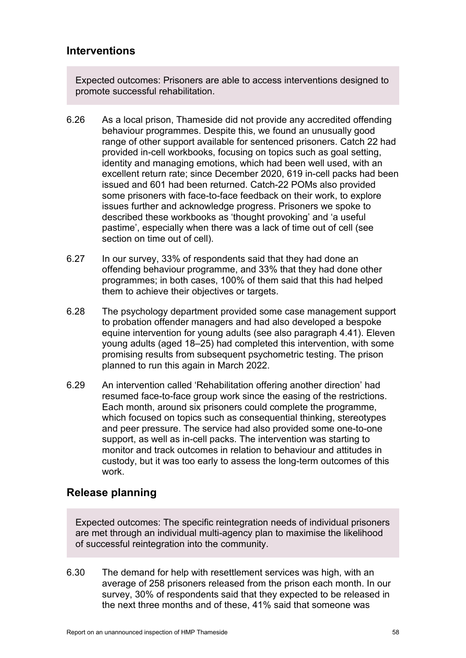# **Interventions**

Expected outcomes: Prisoners are able to access interventions designed to promote successful rehabilitation.

- 6.26 As a local prison, Thameside did not provide any accredited offending behaviour programmes. Despite this, we found an unusually good range of other support available for sentenced prisoners. Catch 22 had provided in-cell workbooks, focusing on topics such as goal setting, identity and managing emotions, which had been well used, with an excellent return rate; since December 2020, 619 in-cell packs had been issued and 601 had been returned. Catch-22 POMs also provided some prisoners with face-to-face feedback on their work, to explore issues further and acknowledge progress. Prisoners we spoke to described these workbooks as 'thought provoking' and 'a useful pastime', especially when there was a lack of time out of cell (see section on time out of cell).
- 6.27 In our survey, 33% of respondents said that they had done an offending behaviour programme, and 33% that they had done other programmes; in both cases, 100% of them said that this had helped them to achieve their objectives or targets.
- <span id="page-57-0"></span>6.28 The psychology department provided some case management support to probation offender managers and had also developed a bespoke equine intervention for young adults (see also paragraph [4.41\)](#page-36-0). Eleven young adults (aged 18–25) had completed this intervention, with some promising results from subsequent psychometric testing. The prison planned to run this again in March 2022.
- 6.29 An intervention called 'Rehabilitation offering another direction' had resumed face-to-face group work since the easing of the restrictions. Each month, around six prisoners could complete the programme, which focused on topics such as consequential thinking, stereotypes and peer pressure. The service had also provided some one-to-one support, as well as in-cell packs. The intervention was starting to monitor and track outcomes in relation to behaviour and attitudes in custody, but it was too early to assess the long-term outcomes of this work.

# **Release planning**

Expected outcomes: The specific reintegration needs of individual prisoners are met through an individual multi-agency plan to maximise the likelihood of successful reintegration into the community.

6.30 The demand for help with resettlement services was high, with an average of 258 prisoners released from the prison each month. In our survey, 30% of respondents said that they expected to be released in the next three months and of these, 41% said that someone was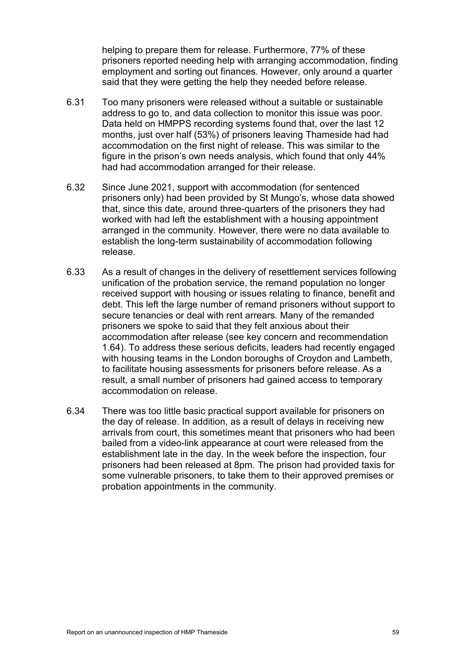helping to prepare them for release. Furthermore, 77% of these prisoners reported needing help with arranging accommodation, finding employment and sorting out finances. However, only around a quarter said that they were getting the help they needed before release.

- 6.31 Too many prisoners were released without a suitable or sustainable address to go to, and data collection to monitor this issue was poor. Data held on HMPPS recording systems found that, over the last 12 months, just over half (53%) of prisoners leaving Thameside had had accommodation on the first night of release. This was similar to the figure in the prison's own needs analysis, which found that only 44% had had accommodation arranged for their release.
- 6.32 Since June 2021, support with accommodation (for sentenced prisoners only) had been provided by St Mungo's, whose data showed that, since this date, around three-quarters of the prisoners they had worked with had left the establishment with a housing appointment arranged in the community. However, there were no data available to establish the long-term sustainability of accommodation following release.
- 6.33 As a result of changes in the delivery of resettlement services following unification of the probation service, the remand population no longer received support with housing or issues relating to finance, benefit and debt. This left the large number of remand prisoners without support to secure tenancies or deal with rent arrears. Many of the remanded prisoners we spoke to said that they felt anxious about their accommodation after release (see key concern and recommendation [1.64\)](#page-14-2). To address these serious deficits, leaders had recently engaged with housing teams in the London boroughs of Croydon and Lambeth, to facilitate housing assessments for prisoners before release. As a result, a small number of prisoners had gained access to temporary accommodation on release.
- 6.34 There was too little basic practical support available for prisoners on the day of release. In addition, as a result of delays in receiving new arrivals from court, this sometimes meant that prisoners who had been bailed from a video-link appearance at court were released from the establishment late in the day. In the week before the inspection, four prisoners had been released at 8pm. The prison had provided taxis for some vulnerable prisoners, to take them to their approved premises or probation appointments in the community.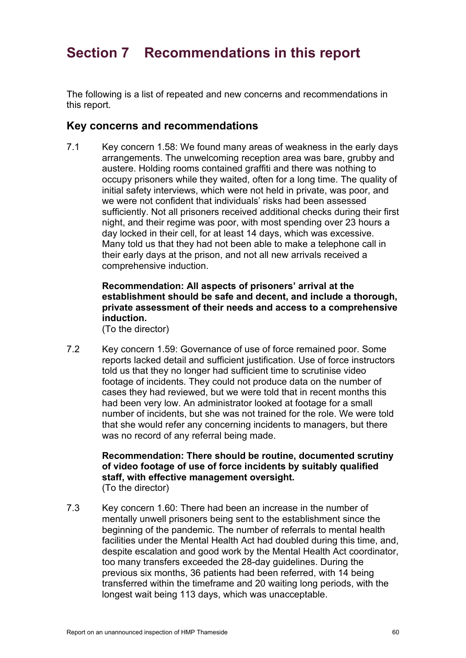# **Section 7 Recommendations in this report**

The following is a list of repeated and new concerns and recommendations in this report.

## **Key concerns and recommendations**

7.1 Key concern [1.58:](#page-12-0) We found many areas of weakness in the early days arrangements. The unwelcoming reception area was bare, grubby and austere. Holding rooms contained graffiti and there was nothing to occupy prisoners while they waited, often for a long time. The quality of initial safety interviews, which were not held in private, was poor, and we were not confident that individuals' risks had been assessed sufficiently. Not all prisoners received additional checks during their first night, and their regime was poor, with most spending over 23 hours a day locked in their cell, for at least 14 days, which was excessive. Many told us that they had not been able to make a telephone call in their early days at the prison, and not all new arrivals received a comprehensive induction.

### **Recommendation: All aspects of prisoners' arrival at the establishment should be safe and decent, and include a thorough, private assessment of their needs and access to a comprehensive induction.**

(To the director)

7.2 Key concern [1.59:](#page-13-2) Governance of use of force remained poor. Some reports lacked detail and sufficient justification. Use of force instructors told us that they no longer had sufficient time to scrutinise video footage of incidents. They could not produce data on the number of cases they had reviewed, but we were told that in recent months this had been very low. An administrator looked at footage for a small number of incidents, but she was not trained for the role. We were told that she would refer any concerning incidents to managers, but there was no record of any referral being made.

#### **Recommendation: There should be routine, documented scrutiny of video footage of use of force incidents by suitably qualified staff, with effective management oversight.** (To the director)

7.3 Key concern [1.60:](#page-13-1) There had been an increase in the number of mentally unwell prisoners being sent to the establishment since the beginning of the pandemic. The number of referrals to mental health facilities under the Mental Health Act had doubled during this time, and, despite escalation and good work by the Mental Health Act coordinator, too many transfers exceeded the 28-day guidelines. During the previous six months, 36 patients had been referred, with 14 being transferred within the timeframe and 20 waiting long periods, with the longest wait being 113 days, which was unacceptable.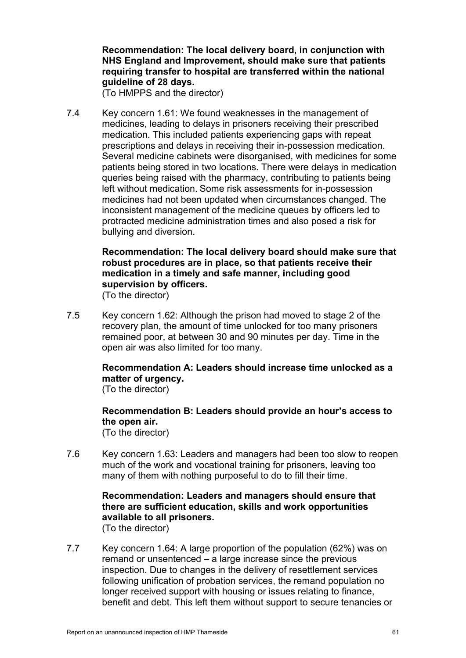**Recommendation: The local delivery board, in conjunction with NHS England and Improvement, should make sure that patients requiring transfer to hospital are transferred within the national guideline of 28 days.**

(To HMPPS and the director)

7.4 Key concern [1.61:](#page-13-0) We found weaknesses in the management of medicines, leading to delays in prisoners receiving their prescribed medication. This included patients experiencing gaps with repeat prescriptions and delays in receiving their in-possession medication. Several medicine cabinets were disorganised, with medicines for some patients being stored in two locations. There were delays in medication queries being raised with the pharmacy, contributing to patients being left without medication. Some risk assessments for in-possession medicines had not been updated when circumstances changed. The inconsistent management of the medicine queues by officers led to protracted medicine administration times and also posed a risk for bullying and diversion.

#### **Recommendation: The local delivery board should make sure that robust procedures are in place, so that patients receive their medication in a timely and safe manner, including good supervision by officers.** (To the director)

7.5 Key concern [1.62:](#page-14-0) Although the prison had moved to stage 2 of the recovery plan, the amount of time unlocked for too many prisoners remained poor, at between 30 and 90 minutes per day. Time in the open air was also limited for too many.

# **Recommendation A: Leaders should increase time unlocked as a matter of urgency.**

(To the director)

#### **Recommendation B: Leaders should provide an hour's access to the open air.** (To the director)

7.6 Key concern [1.63:](#page-14-1) Leaders and managers had been too slow to reopen much of the work and vocational training for prisoners, leaving too many of them with nothing purposeful to do to fill their time.

#### **Recommendation: Leaders and managers should ensure that there are sufficient education, skills and work opportunities available to all prisoners.**  (To the director)

7.7 Key concern [1.64:](#page-14-2) A large proportion of the population (62%) was on remand or unsentenced – a large increase since the previous inspection. Due to changes in the delivery of resettlement services following unification of probation services, the remand population no longer received support with housing or issues relating to finance, benefit and debt. This left them without support to secure tenancies or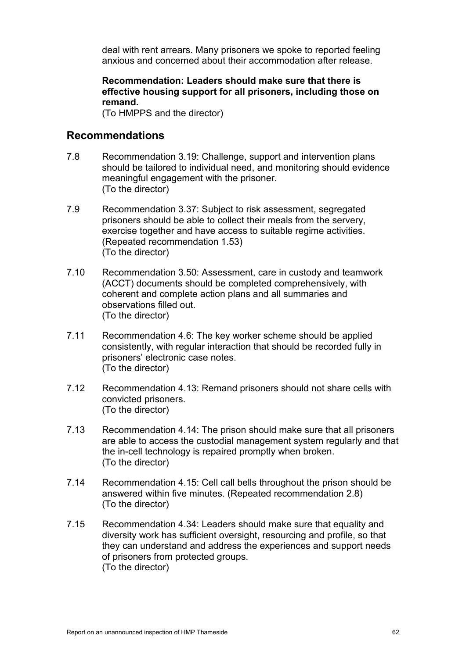deal with rent arrears. Many prisoners we spoke to reported feeling anxious and concerned about their accommodation after release.

#### **Recommendation: Leaders should make sure that there is effective housing support for all prisoners, including those on remand.**

(To HMPPS and the director)

# **Recommendations**

- 7.8 Recommendation [3.19:](#page-21-0) Challenge, support and intervention plans should be tailored to individual need, and monitoring should evidence meaningful engagement with the prisoner. (To the director)
- 7.9 Recommendation [3.37:](#page-23-0) Subject to risk assessment, segregated prisoners should be able to collect their meals from the servery, exercise together and have access to suitable regime activities. (Repeated recommendation [1.53\)](#page-12-1) (To the director)
- 7.10 Recommendation [3.50:](#page-25-0) Assessment, care in custody and teamwork (ACCT) documents should be completed comprehensively, with coherent and complete action plans and all summaries and observations filled out. (To the director)
- 7.11 Recommendation [4.6:](#page-27-0) The key worker scheme should be applied consistently, with regular interaction that should be recorded fully in prisoners' electronic case notes. (To the director)
- 7.12 Recommendation [4.13:](#page-31-0) Remand prisoners should not share cells with convicted prisoners. (To the director)
- 7.13 Recommendation [4.14:](#page-31-1) The prison should make sure that all prisoners are able to access the custodial management system regularly and that the in-cell technology is repaired promptly when broken. (To the director)
- 7.14 Recommendation [4.15:](#page-31-2) Cell call bells throughout the prison should be answered within five minutes. (Repeated recommendation [2.8\)](#page-16-0) (To the director)
- 7.15 Recommendation [4.34:](#page-34-0) Leaders should make sure that equality and diversity work has sufficient oversight, resourcing and profile, so that they can understand and address the experiences and support needs of prisoners from protected groups. (To the director)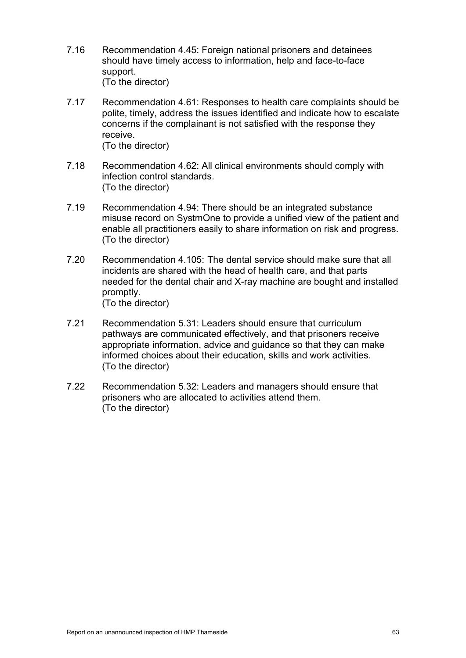- 7.16 Recommendation [4.45:](#page-36-1) Foreign national prisoners and detainees should have timely access to information, help and face-to-face support. (To the director)
- 7.17 Recommendation [4.61:](#page-38-0) Responses to health care complaints should be polite, timely, address the issues identified and indicate how to escalate concerns if the complainant is not satisfied with the response they receive. (To the director)
- 7.18 Recommendation [4.62:](#page-39-0) All clinical environments should comply with infection control standards. (To the director)
- 7.19 Recommendation [4.94:](#page-44-0) There should be an integrated substance misuse record on SystmOne to provide a unified view of the patient and enable all practitioners easily to share information on risk and progress. (To the director)
- 7.20 Recommendation [4.105:](#page-45-0) The dental service should make sure that all incidents are shared with the head of health care, and that parts needed for the dental chair and X-ray machine are bought and installed promptly. (To the director)
- 7.21 Recommendation [5.31:](#page-51-0) Leaders should ensure that curriculum pathways are communicated effectively, and that prisoners receive appropriate information, advice and guidance so that they can make informed choices about their education, skills and work activities. (To the director)
- 7.22 Recommendation [5.32:](#page-51-1) Leaders and managers should ensure that prisoners who are allocated to activities attend them. (To the director)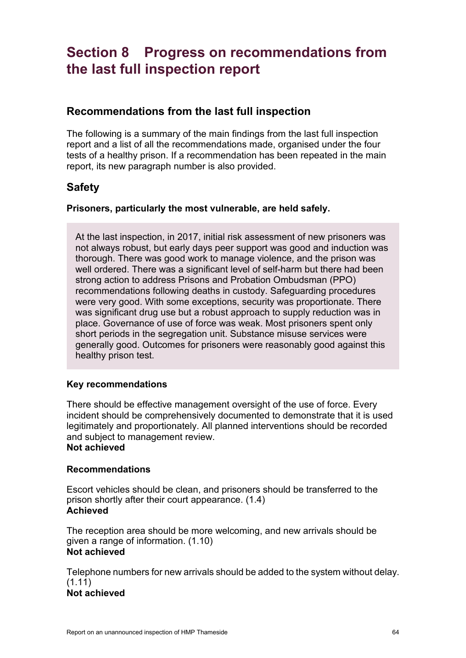# **Section 8 Progress on recommendations from the last full inspection report**

# **Recommendations from the last full inspection**

The following is a summary of the main findings from the last full inspection report and a list of all the recommendations made, organised under the four tests of a healthy prison. If a recommendation has been repeated in the main report, its new paragraph number is also provided.

# **Safety**

#### **Prisoners, particularly the most vulnerable, are held safely.**

At the last inspection, in 2017, initial risk assessment of new prisoners was not always robust, but early days peer support was good and induction was thorough. There was good work to manage violence, and the prison was well ordered. There was a significant level of self-harm but there had been strong action to address Prisons and Probation Ombudsman (PPO) recommendations following deaths in custody. Safeguarding procedures were very good. With some exceptions, security was proportionate. There was significant drug use but a robust approach to supply reduction was in place. Governance of use of force was weak. Most prisoners spent only short periods in the segregation unit. Substance misuse services were generally good. Outcomes for prisoners were reasonably good against this healthy prison test.

#### **Key recommendations**

There should be effective management oversight of the use of force. Every incident should be comprehensively documented to demonstrate that it is used legitimately and proportionately. All planned interventions should be recorded and subject to management review.

# **Not achieved**

#### **Recommendations**

Escort vehicles should be clean, and prisoners should be transferred to the prison shortly after their court appearance. (1.4) **Achieved**

The reception area should be more welcoming, and new arrivals should be given a range of information. (1.10) **Not achieved**

Telephone numbers for new arrivals should be added to the system without delay.  $(1.11)$ 

## **Not achieved**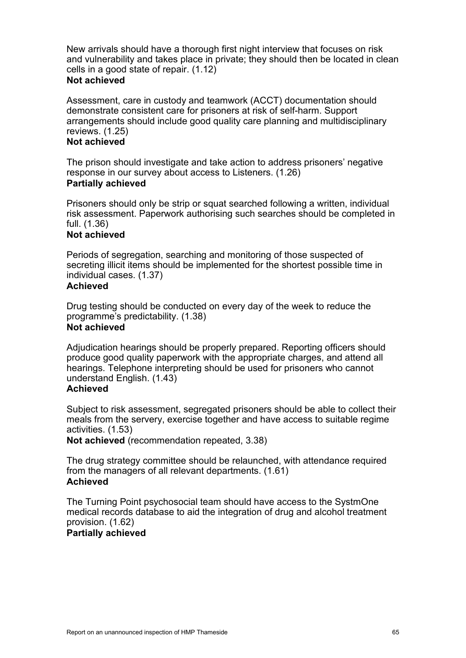New arrivals should have a thorough first night interview that focuses on risk and vulnerability and takes place in private; they should then be located in clean cells in a good state of repair. (1.12)

#### **Not achieved**

Assessment, care in custody and teamwork (ACCT) documentation should demonstrate consistent care for prisoners at risk of self-harm. Support arrangements should include good quality care planning and multidisciplinary reviews. (1.25)

#### **Not achieved**

The prison should investigate and take action to address prisoners' negative response in our survey about access to Listeners. (1.26) **Partially achieved**

Prisoners should only be strip or squat searched following a written, individual risk assessment. Paperwork authorising such searches should be completed in full. (1.36)

#### **Not achieved**

Periods of segregation, searching and monitoring of those suspected of secreting illicit items should be implemented for the shortest possible time in individual cases. (1.37)

#### **Achieved**

Drug testing should be conducted on every day of the week to reduce the programme's predictability. (1.38) **Not achieved**

Adjudication hearings should be properly prepared. Reporting officers should produce good quality paperwork with the appropriate charges, and attend all hearings. Telephone interpreting should be used for prisoners who cannot understand English. (1.43)

#### **Achieved**

Subject to risk assessment, segregated prisoners should be able to collect their meals from the servery, exercise together and have access to suitable regime activities. (1.53)

**Not achieved** (recommendation repeated, 3.38)

The drug strategy committee should be relaunched, with attendance required from the managers of all relevant departments. (1.61) **Achieved**

The Turning Point psychosocial team should have access to the SystmOne medical records database to aid the integration of drug and alcohol treatment provision. (1.62)

#### **Partially achieved**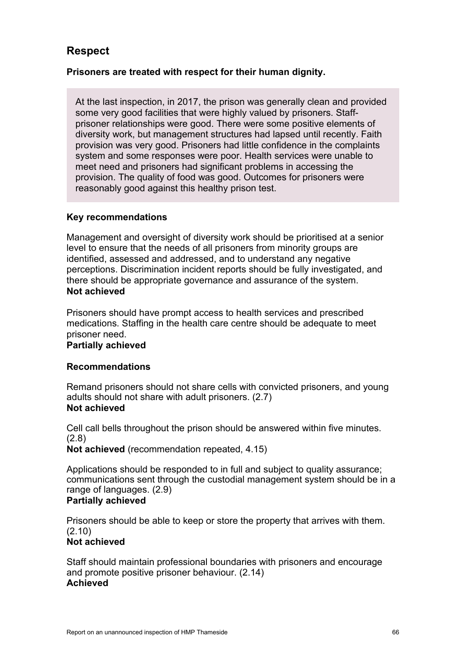# **Respect**

### **Prisoners are treated with respect for their human dignity.**

At the last inspection, in 2017, the prison was generally clean and provided some very good facilities that were highly valued by prisoners. Staffprisoner relationships were good. There were some positive elements of diversity work, but management structures had lapsed until recently. Faith provision was very good. Prisoners had little confidence in the complaints system and some responses were poor. Health services were unable to meet need and prisoners had significant problems in accessing the provision. The quality of food was good. Outcomes for prisoners were reasonably good against this healthy prison test.

#### **Key recommendations**

Management and oversight of diversity work should be prioritised at a senior level to ensure that the needs of all prisoners from minority groups are identified, assessed and addressed, and to understand any negative perceptions. Discrimination incident reports should be fully investigated, and there should be appropriate governance and assurance of the system. **Not achieved**

Prisoners should have prompt access to health services and prescribed medications. Staffing in the health care centre should be adequate to meet prisoner need.

#### **Partially achieved**

#### **Recommendations**

Remand prisoners should not share cells with convicted prisoners, and young adults should not share with adult prisoners. (2.7) **Not achieved**

Cell call bells throughout the prison should be answered within five minutes. (2.8)

**Not achieved** (recommendation repeated, 4.15)

Applications should be responded to in full and subject to quality assurance; communications sent through the custodial management system should be in a range of languages. (2.9)

#### **Partially achieved**

Prisoners should be able to keep or store the property that arrives with them. (2.10)

#### **Not achieved**

Staff should maintain professional boundaries with prisoners and encourage and promote positive prisoner behaviour. (2.14) **Achieved**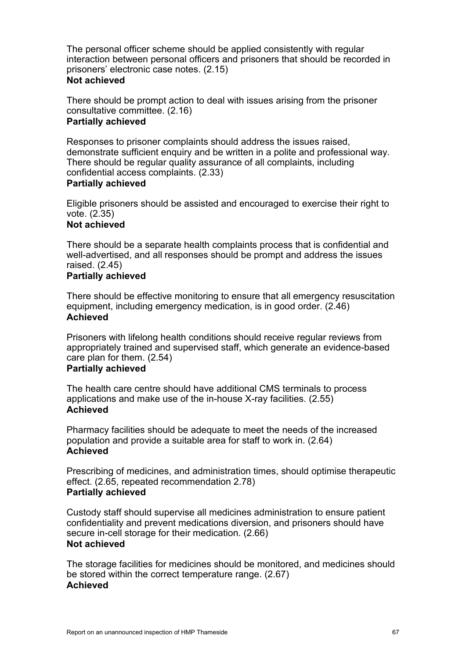The personal officer scheme should be applied consistently with regular interaction between personal officers and prisoners that should be recorded in prisoners' electronic case notes. (2.15)

#### **Not achieved**

There should be prompt action to deal with issues arising from the prisoner consultative committee. (2.16) **Partially achieved** 

Responses to prisoner complaints should address the issues raised, demonstrate sufficient enquiry and be written in a polite and professional way. There should be regular quality assurance of all complaints, including confidential access complaints. (2.33)

#### **Partially achieved**

Eligible prisoners should be assisted and encouraged to exercise their right to vote. (2.35)

#### **Not achieved**

There should be a separate health complaints process that is confidential and well-advertised, and all responses should be prompt and address the issues raised. (2.45)

#### **Partially achieved**

There should be effective monitoring to ensure that all emergency resuscitation equipment, including emergency medication, is in good order. (2.46) **Achieved**

Prisoners with lifelong health conditions should receive regular reviews from appropriately trained and supervised staff, which generate an evidence-based care plan for them. (2.54)

#### **Partially achieved**

The health care centre should have additional CMS terminals to process applications and make use of the in-house X-ray facilities. (2.55) **Achieved**

Pharmacy facilities should be adequate to meet the needs of the increased population and provide a suitable area for staff to work in. (2.64) **Achieved**

Prescribing of medicines, and administration times, should optimise therapeutic effect. (2.65, repeated recommendation 2.78) **Partially achieved**

Custody staff should supervise all medicines administration to ensure patient confidentiality and prevent medications diversion, and prisoners should have secure in-cell storage for their medication. (2.66) **Not achieved**

The storage facilities for medicines should be monitored, and medicines should be stored within the correct temperature range. (2.67) **Achieved**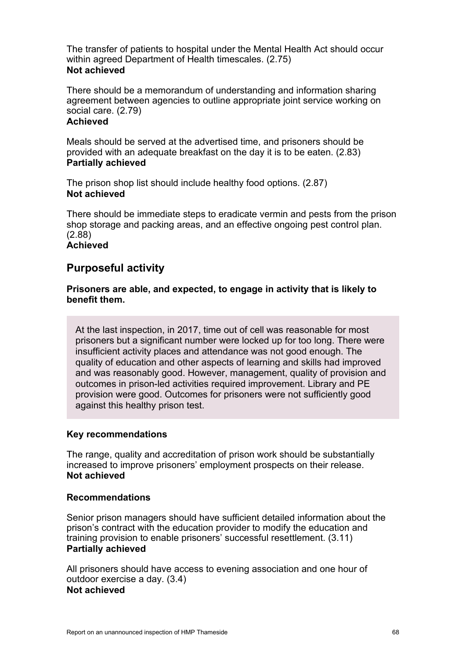The transfer of patients to hospital under the Mental Health Act should occur within agreed Department of Health timescales. (2.75) **Not achieved**

There should be a memorandum of understanding and information sharing agreement between agencies to outline appropriate joint service working on social care. (2.79)

### **Achieved**

Meals should be served at the advertised time, and prisoners should be provided with an adequate breakfast on the day it is to be eaten. (2.83) **Partially achieved**

The prison shop list should include healthy food options. (2.87) **Not achieved**

There should be immediate steps to eradicate vermin and pests from the prison shop storage and packing areas, and an effective ongoing pest control plan. (2.88) **Achieved**

# **Purposeful activity**

#### **Prisoners are able, and expected, to engage in activity that is likely to benefit them.**

At the last inspection, in 2017, time out of cell was reasonable for most prisoners but a significant number were locked up for too long. There were insufficient activity places and attendance was not good enough. The quality of education and other aspects of learning and skills had improved and was reasonably good. However, management, quality of provision and outcomes in prison-led activities required improvement. Library and PE provision were good. Outcomes for prisoners were not sufficiently good against this healthy prison test.

#### **Key recommendations**

The range, quality and accreditation of prison work should be substantially increased to improve prisoners' employment prospects on their release. **Not achieved**

#### **Recommendations**

Senior prison managers should have sufficient detailed information about the prison's contract with the education provider to modify the education and training provision to enable prisoners' successful resettlement. (3.11) **Partially achieved**

All prisoners should have access to evening association and one hour of outdoor exercise a day. (3.4) **Not achieved**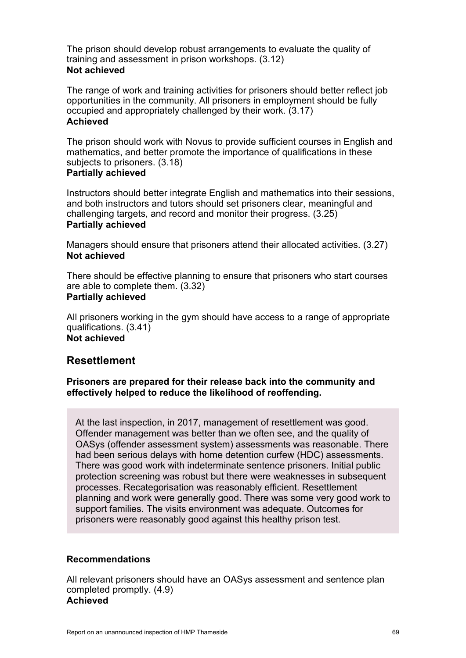The prison should develop robust arrangements to evaluate the quality of training and assessment in prison workshops. (3.12) **Not achieved**

The range of work and training activities for prisoners should better reflect job opportunities in the community. All prisoners in employment should be fully occupied and appropriately challenged by their work. (3.17) **Achieved**

The prison should work with Novus to provide sufficient courses in English and mathematics, and better promote the importance of qualifications in these subjects to prisoners. (3.18)

#### **Partially achieved**

Instructors should better integrate English and mathematics into their sessions, and both instructors and tutors should set prisoners clear, meaningful and challenging targets, and record and monitor their progress. (3.25) **Partially achieved**

Managers should ensure that prisoners attend their allocated activities. (3.27) **Not achieved**

There should be effective planning to ensure that prisoners who start courses are able to complete them. (3.32) **Partially achieved**

All prisoners working in the gym should have access to a range of appropriate qualifications. (3.41) **Not achieved**

# **Resettlement**

**Prisoners are prepared for their release back into the community and effectively helped to reduce the likelihood of reoffending.** 

At the last inspection, in 2017, management of resettlement was good. Offender management was better than we often see, and the quality of OASys (offender assessment system) assessments was reasonable. There had been serious delays with home detention curfew (HDC) assessments. There was good work with indeterminate sentence prisoners. Initial public protection screening was robust but there were weaknesses in subsequent processes. Recategorisation was reasonably efficient. Resettlement planning and work were generally good. There was some very good work to support families. The visits environment was adequate. Outcomes for prisoners were reasonably good against this healthy prison test.

#### **Recommendations**

All relevant prisoners should have an OASys assessment and sentence plan completed promptly. (4.9) **Achieved**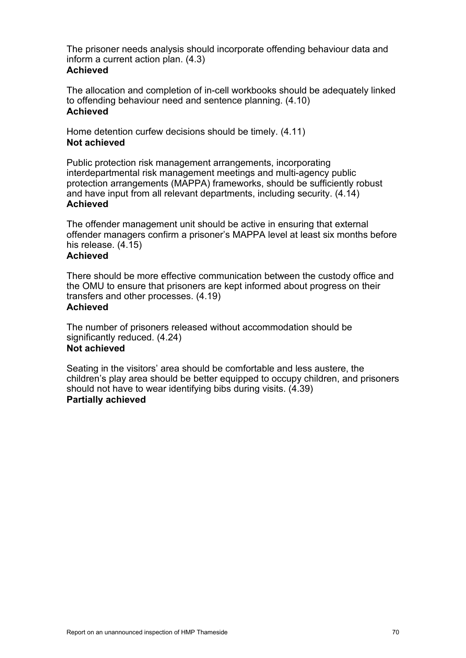The prisoner needs analysis should incorporate offending behaviour data and inform a current action plan. (4.3) **Achieved**

The allocation and completion of in-cell workbooks should be adequately linked to offending behaviour need and sentence planning. (4.10) **Achieved**

Home detention curfew decisions should be timely. (4.11) **Not achieved**

Public protection risk management arrangements, incorporating interdepartmental risk management meetings and multi-agency public protection arrangements (MAPPA) frameworks, should be sufficiently robust and have input from all relevant departments, including security. (4.14) **Achieved**

The offender management unit should be active in ensuring that external offender managers confirm a prisoner's MAPPA level at least six months before his release. (4.15)

#### **Achieved**

There should be more effective communication between the custody office and the OMU to ensure that prisoners are kept informed about progress on their transfers and other processes. (4.19)

# **Achieved**

The number of prisoners released without accommodation should be significantly reduced. (4.24) **Not achieved**

Seating in the visitors' area should be comfortable and less austere, the children's play area should be better equipped to occupy children, and prisoners should not have to wear identifying bibs during visits. (4.39) **Partially achieved**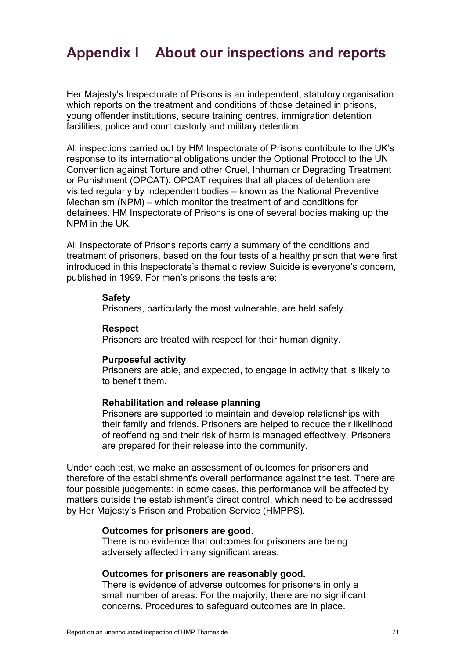# **Appendix I About our inspections and reports**

Her Majesty's Inspectorate of Prisons is an independent, statutory organisation which reports on the treatment and conditions of those detained in prisons, young offender institutions, secure training centres, immigration detention facilities, police and court custody and military detention.

All inspections carried out by HM Inspectorate of Prisons contribute to the UK's response to its international obligations under the Optional Protocol to the UN Convention against Torture and other Cruel, Inhuman or Degrading Treatment or Punishment (OPCAT). OPCAT requires that all places of detention are visited regularly by independent bodies – known as the National Preventive Mechanism (NPM) – which monitor the treatment of and conditions for detainees. HM Inspectorate of Prisons is one of several bodies making up the NPM in the UK.

All Inspectorate of Prisons reports carry a summary of the conditions and treatment of prisoners, based on the four tests of a healthy prison that were first introduced in this Inspectorate's thematic review Suicide is everyone's concern, published in 1999. For men's prisons the tests are:

#### **Safety**

Prisoners, particularly the most vulnerable, are held safely.

#### **Respect**

Prisoners are treated with respect for their human dignity.

#### **Purposeful activity**

Prisoners are able, and expected, to engage in activity that is likely to to benefit them.

#### **Rehabilitation and release planning**

Prisoners are supported to maintain and develop relationships with their family and friends. Prisoners are helped to reduce their likelihood of reoffending and their risk of harm is managed effectively. Prisoners are prepared for their release into the community.

Under each test, we make an assessment of outcomes for prisoners and therefore of the establishment's overall performance against the test. There are four possible judgements: in some cases, this performance will be affected by matters outside the establishment's direct control, which need to be addressed by Her Majesty's Prison and Probation Service (HMPPS).

#### **Outcomes for prisoners are good.**

There is no evidence that outcomes for prisoners are being adversely affected in any significant areas.

#### **Outcomes for prisoners are reasonably good.**

There is evidence of adverse outcomes for prisoners in only a small number of areas. For the majority, there are no significant concerns. Procedures to safeguard outcomes are in place.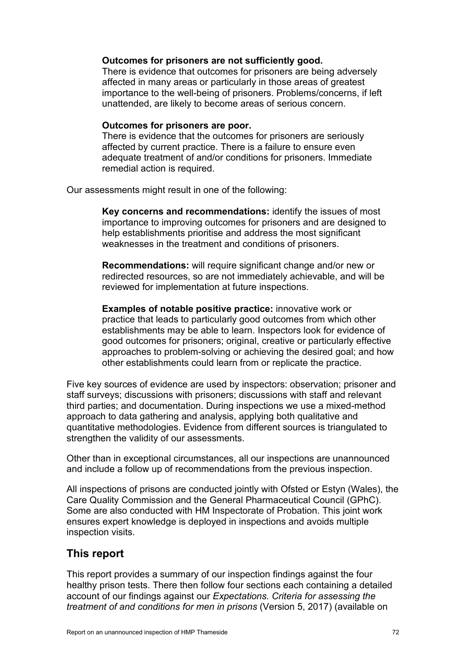#### **Outcomes for prisoners are not sufficiently good.**

There is evidence that outcomes for prisoners are being adversely affected in many areas or particularly in those areas of greatest importance to the well-being of prisoners. Problems/concerns, if left unattended, are likely to become areas of serious concern.

#### **Outcomes for prisoners are poor.**

There is evidence that the outcomes for prisoners are seriously affected by current practice. There is a failure to ensure even adequate treatment of and/or conditions for prisoners. Immediate remedial action is required.

Our assessments might result in one of the following:

**Key concerns and recommendations:** identify the issues of most importance to improving outcomes for prisoners and are designed to help establishments prioritise and address the most significant weaknesses in the treatment and conditions of prisoners.

**Recommendations:** will require significant change and/or new or redirected resources, so are not immediately achievable, and will be reviewed for implementation at future inspections.

**Examples of notable positive practice:** innovative work or practice that leads to particularly good outcomes from which other establishments may be able to learn. Inspectors look for evidence of good outcomes for prisoners; original, creative or particularly effective approaches to problem-solving or achieving the desired goal; and how other establishments could learn from or replicate the practice.

Five key sources of evidence are used by inspectors: observation; prisoner and staff surveys; discussions with prisoners; discussions with staff and relevant third parties; and documentation. During inspections we use a mixed-method approach to data gathering and analysis, applying both qualitative and quantitative methodologies. Evidence from different sources is triangulated to strengthen the validity of our assessments.

Other than in exceptional circumstances, all our inspections are unannounced and include a follow up of recommendations from the previous inspection.

All inspections of prisons are conducted jointly with Ofsted or Estyn (Wales), the Care Quality Commission and the General Pharmaceutical Council (GPhC). Some are also conducted with HM Inspectorate of Probation. This joint work ensures expert knowledge is deployed in inspections and avoids multiple inspection visits.

## **This report**

This report provides a summary of our inspection findings against the four healthy prison tests. There then follow four sections each containing a detailed account of our findings against our *Expectations. Criteria for assessing the treatment of and conditions for men in prisons* (Version 5, 2017) (available on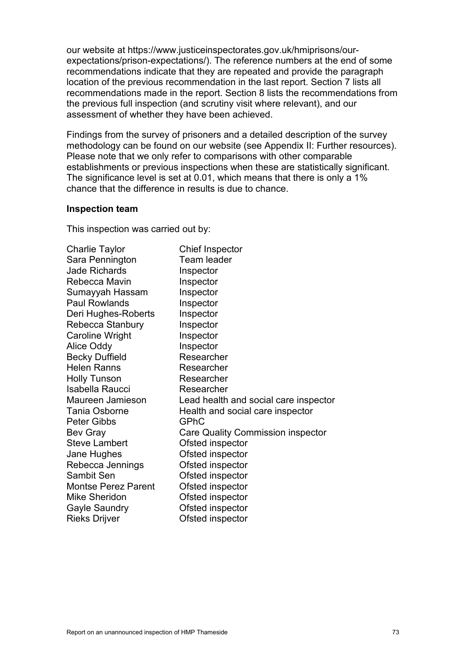our website at https://www.justiceinspectorates.gov.uk/hmiprisons/ourexpectations/prison-expectations/). The reference numbers at the end of some recommendations indicate that they are repeated and provide the paragraph location of the previous recommendation in the last report. Section 7 lists all recommendations made in the report. Section 8 lists the recommendations from the previous full inspection (and scrutiny visit where relevant), and our assessment of whether they have been achieved.

Findings from the survey of prisoners and a detailed description of the survey methodology can be found on our website (see Appendix II: Further resources). Please note that we only refer to comparisons with other comparable establishments or previous inspections when these are statistically significant. The significance level is set at 0.01, which means that there is only a 1% chance that the difference in results is due to chance.

### **Inspection team**

This inspection was carried out by:

| <b>Charlie Taylor</b>      | <b>Chief Inspector</b>                   |
|----------------------------|------------------------------------------|
| Sara Pennington            | Team leader                              |
| <b>Jade Richards</b>       | Inspector                                |
| Rebecca Mavin              | Inspector                                |
| Sumayyah Hassam            | Inspector                                |
| <b>Paul Rowlands</b>       | Inspector                                |
| Deri Hughes-Roberts        | Inspector                                |
| Rebecca Stanbury           | Inspector                                |
| <b>Caroline Wright</b>     | Inspector                                |
| <b>Alice Oddy</b>          | Inspector                                |
| <b>Becky Duffield</b>      | Researcher                               |
| <b>Helen Ranns</b>         | Researcher                               |
| <b>Holly Tunson</b>        | Researcher                               |
| Isabella Raucci            | Researcher                               |
| Maureen Jamieson           | Lead health and social care inspector    |
| <b>Tania Osborne</b>       | Health and social care inspector         |
| <b>Peter Gibbs</b>         | GPhC                                     |
| <b>Bev Gray</b>            | <b>Care Quality Commission inspector</b> |
| <b>Steve Lambert</b>       | Ofsted inspector                         |
| Jane Hughes                | Ofsted inspector                         |
| Rebecca Jennings           | Ofsted inspector                         |
| Sambit Sen                 | Ofsted inspector                         |
| <b>Montse Perez Parent</b> | Ofsted inspector                         |
| Mike Sheridon              | Ofsted inspector                         |
| <b>Gayle Saundry</b>       | Ofsted inspector                         |
| <b>Rieks Drijver</b>       | Ofsted inspector                         |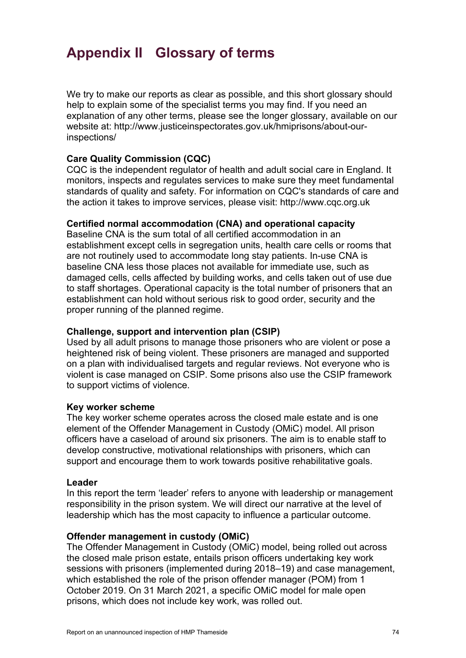# **Appendix II Glossary of terms**

We try to make our reports as clear as possible, and this short glossary should help to explain some of the specialist terms you may find. If you need an explanation of any other terms, please see the longer glossary, available on our website at: http://www.justiceinspectorates.gov.uk/hmiprisons/about-ourinspections/

## **Care Quality Commission (CQC)**

CQC is the independent regulator of health and adult social care in England. It monitors, inspects and regulates services to make sure they meet fundamental standards of quality and safety. For information on CQC's standards of care and the action it takes to improve services, please visit: http://www.cqc.org.uk

### **Certified normal accommodation (CNA) and operational capacity**

Baseline CNA is the sum total of all certified accommodation in an establishment except cells in segregation units, health care cells or rooms that are not routinely used to accommodate long stay patients. In-use CNA is baseline CNA less those places not available for immediate use, such as damaged cells, cells affected by building works, and cells taken out of use due to staff shortages. Operational capacity is the total number of prisoners that an establishment can hold without serious risk to good order, security and the proper running of the planned regime.

### **Challenge, support and intervention plan (CSIP)**

Used by all adult prisons to manage those prisoners who are violent or pose a heightened risk of being violent. These prisoners are managed and supported on a plan with individualised targets and regular reviews. Not everyone who is violent is case managed on CSIP. Some prisons also use the CSIP framework to support victims of violence.

### **Key worker scheme**

The key worker scheme operates across the closed male estate and is one element of the Offender Management in Custody (OMiC) model. All prison officers have a caseload of around six prisoners. The aim is to enable staff to develop constructive, motivational relationships with prisoners, which can support and encourage them to work towards positive rehabilitative goals.

### **Leader**

In this report the term 'leader' refers to anyone with leadership or management responsibility in the prison system. We will direct our narrative at the level of leadership which has the most capacity to influence a particular outcome.

### **Offender management in custody (OMiC)**

The Offender Management in Custody (OMiC) model, being rolled out across the closed male prison estate, entails prison officers undertaking key work sessions with prisoners (implemented during 2018–19) and case management, which established the role of the prison offender manager (POM) from 1 October 2019. On 31 March 2021, a specific OMiC model for male open prisons, which does not include key work, was rolled out.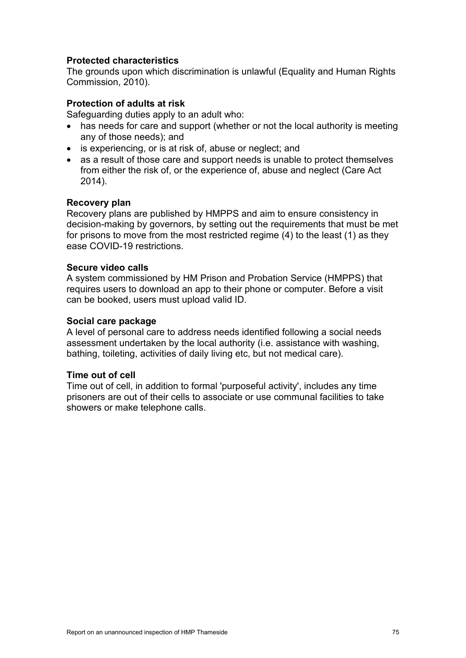# **Protected characteristics**

The grounds upon which discrimination is unlawful (Equality and Human Rights Commission, 2010).

## **Protection of adults at risk**

Safeguarding duties apply to an adult who:

- has needs for care and support (whether or not the local authority is meeting any of those needs); and
- is experiencing, or is at risk of, abuse or neglect; and
- as a result of those care and support needs is unable to protect themselves from either the risk of, or the experience of, abuse and neglect (Care Act 2014).

### **Recovery plan**

Recovery plans are published by HMPPS and aim to ensure consistency in decision-making by governors, by setting out the requirements that must be met for prisons to move from the most restricted regime (4) to the least (1) as they ease COVID-19 restrictions.

### **Secure video calls**

A system commissioned by HM Prison and Probation Service (HMPPS) that requires users to download an app to their phone or computer. Before a visit can be booked, users must upload valid ID.

### **Social care package**

A level of personal care to address needs identified following a social needs assessment undertaken by the local authority (i.e. assistance with washing, bathing, toileting, activities of daily living etc, but not medical care).

### **Time out of cell**

Time out of cell, in addition to formal 'purposeful activity', includes any time prisoners are out of their cells to associate or use communal facilities to take showers or make telephone calls.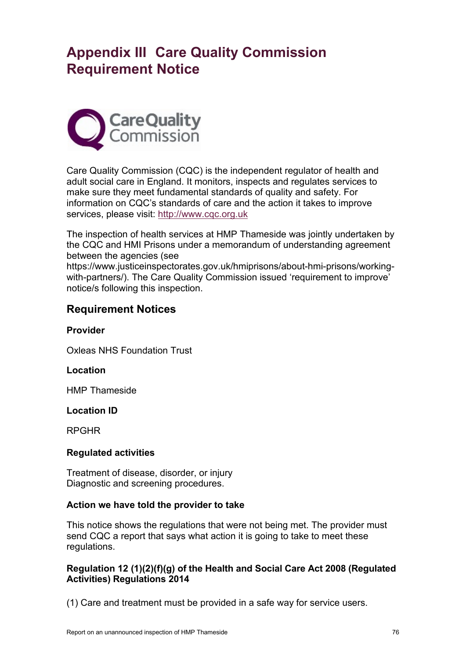# **Appendix III Care Quality Commission Requirement Notice**



Care Quality Commission (CQC) is the independent regulator of health and adult social care in England. It monitors, inspects and regulates services to make sure they meet fundamental standards of quality and safety. For information on CQC's standards of care and the action it takes to improve services, please visit: [http://www.cqc.org.uk](http://www.cqc.org.uk/)

The inspection of health services at HMP Thameside was jointly undertaken by the CQC and HMI Prisons under a memorandum of understanding agreement between the agencies (see

https://www.justiceinspectorates.gov.uk/hmiprisons/about-hmi-prisons/workingwith-partners/). The Care Quality Commission issued 'requirement to improve' notice/s following this inspection.

# **Requirement Notices**

**Provider**

Oxleas NHS Foundation Trust

## **Location**

HMP Thameside

## **Location ID**

RPGHR

## **Regulated activities**

Treatment of disease, disorder, or injury Diagnostic and screening procedures.

## **Action we have told the provider to take**

This notice shows the regulations that were not being met. The provider must send CQC a report that says what action it is going to take to meet these regulations.

# **Regulation 12 (1)(2)(f)(g) of the Health and Social Care Act 2008 (Regulated Activities) Regulations 2014**

(1) Care and treatment must be provided in a safe way for service users.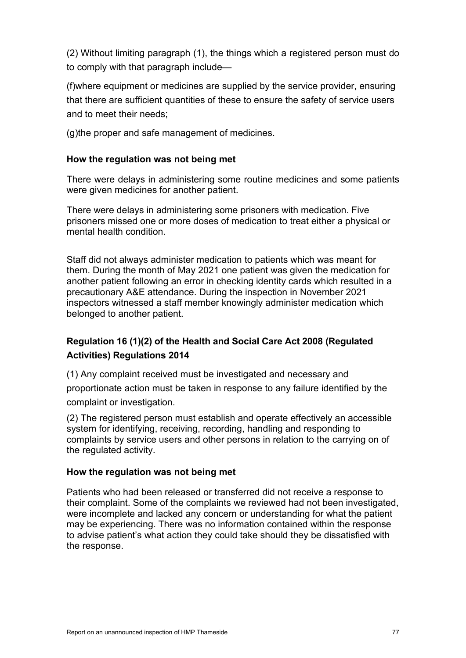(2) Without limiting paragraph (1), the things which a registered person must do to comply with that paragraph include—

(f)where equipment or medicines are supplied by the service provider, ensuring that there are sufficient quantities of these to ensure the safety of service users and to meet their needs;

(g)the proper and safe management of medicines.

# **How the regulation was not being met**

There were delays in administering some routine medicines and some patients were given medicines for another patient.

There were delays in administering some prisoners with medication. Five prisoners missed one or more doses of medication to treat either a physical or mental health condition.

Staff did not always administer medication to patients which was meant for them. During the month of May 2021 one patient was given the medication for another patient following an error in checking identity cards which resulted in a precautionary A&E attendance. During the inspection in November 2021 inspectors witnessed a staff member knowingly administer medication which belonged to another patient.

# **Regulation 16 (1)(2) of the Health and Social Care Act 2008 (Regulated Activities) Regulations 2014**

(1) Any complaint received must be investigated and necessary and proportionate action must be taken in response to any failure identified by the complaint or investigation.

(2) The registered person must establish and operate effectively an accessible system for identifying, receiving, recording, handling and responding to complaints by service users and other persons in relation to the carrying on of the regulated activity.

## **How the regulation was not being met**

Patients who had been released or transferred did not receive a response to their complaint. Some of the complaints we reviewed had not been investigated, were incomplete and lacked any concern or understanding for what the patient may be experiencing. There was no information contained within the response to advise patient's what action they could take should they be dissatisfied with the response.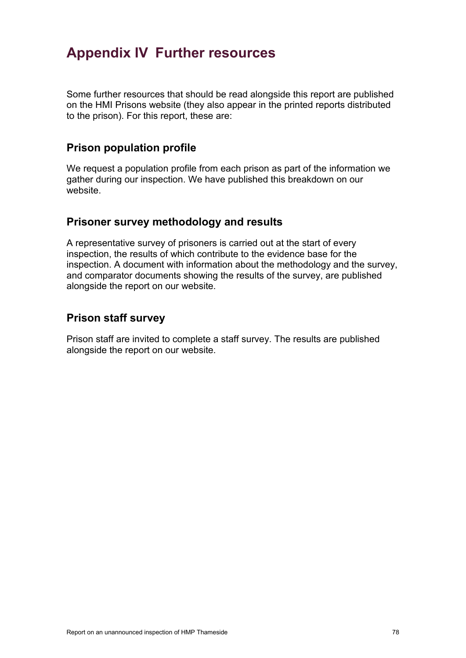# **Appendix IV Further resources**

Some further resources that should be read alongside this report are published on the HMI Prisons website (they also appear in the printed reports distributed to the prison). For this report, these are:

# **Prison population profile**

We request a population profile from each prison as part of the information we gather during our inspection. We have published this breakdown on our website.

# **Prisoner survey methodology and results**

A representative survey of prisoners is carried out at the start of every inspection, the results of which contribute to the evidence base for the inspection. A document with information about the methodology and the survey, and comparator documents showing the results of the survey, are published alongside the report on our website.

# **Prison staff survey**

Prison staff are invited to complete a staff survey. The results are published alongside the report on our website.